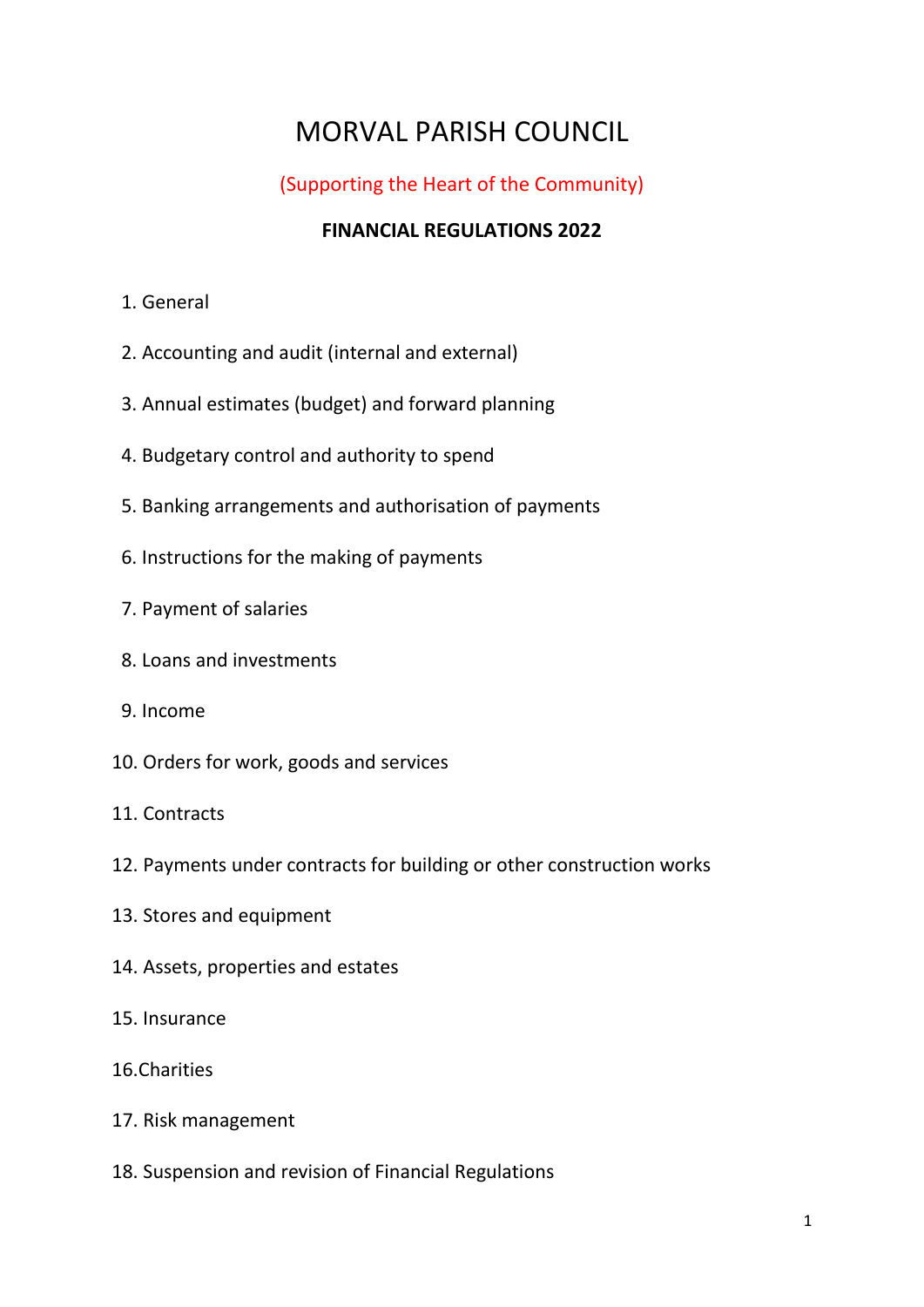# MORVAL PARISH COUNCIL

#### (Supporting the Heart of the Community)

#### **FINANCIAL REGULATIONS 2022**

- 1. General
- 2. Accounting and audit (internal and external)
- 3. Annual estimates (budget) and forward planning
- 4. Budgetary control and authority to spend
- 5. Banking arrangements and authorisation of payments
- 6. Instructions for the making of payments
- 7. Payment of salaries
- 8. Loans and investments
- 9. Income
- 10. Orders for work, goods and services
- 11. Contracts
- 12. Payments under contracts for building or other construction works
- 13. Stores and equipment
- 14. Assets, properties and estates
- 15. Insurance
- 16.Charities
- 17. Risk management
- 18. Suspension and revision of Financial Regulations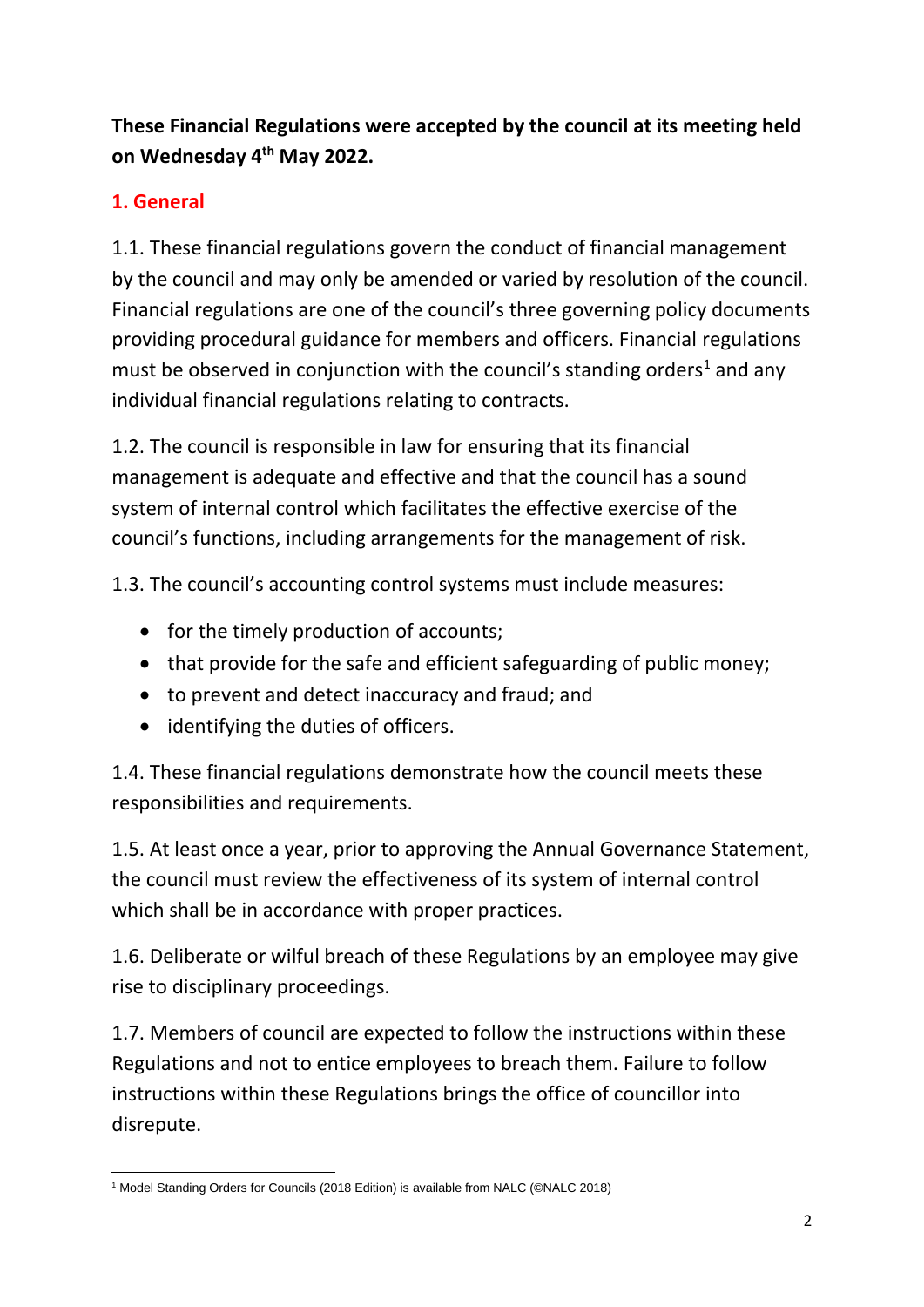**These Financial Regulations were accepted by the council at its meeting held on Wednesday 4th May 2022.**

# **1. General**

1.1. These financial regulations govern the conduct of financial management by the council and may only be amended or varied by resolution of the council. Financial regulations are one of the council's three governing policy documents providing procedural guidance for members and officers. Financial regulations must be observed in conjunction with the council's standing orders<sup>1</sup> and any individual financial regulations relating to contracts.

1.2. The council is responsible in law for ensuring that its financial management is adequate and effective and that the council has a sound system of internal control which facilitates the effective exercise of the council's functions, including arrangements for the management of risk.

1.3. The council's accounting control systems must include measures:

- for the timely production of accounts;
- that provide for the safe and efficient safeguarding of public money;
- to prevent and detect inaccuracy and fraud; and
- identifying the duties of officers.

1.4. These financial regulations demonstrate how the council meets these responsibilities and requirements.

1.5. At least once a year, prior to approving the Annual Governance Statement, the council must review the effectiveness of its system of internal control which shall be in accordance with proper practices.

1.6. Deliberate or wilful breach of these Regulations by an employee may give rise to disciplinary proceedings.

1.7. Members of council are expected to follow the instructions within these Regulations and not to entice employees to breach them. Failure to follow instructions within these Regulations brings the office of councillor into disrepute.

<sup>&</sup>lt;sup>1</sup> Model Standing Orders for Councils (2018 Edition) is available from NALC (©NALC 2018)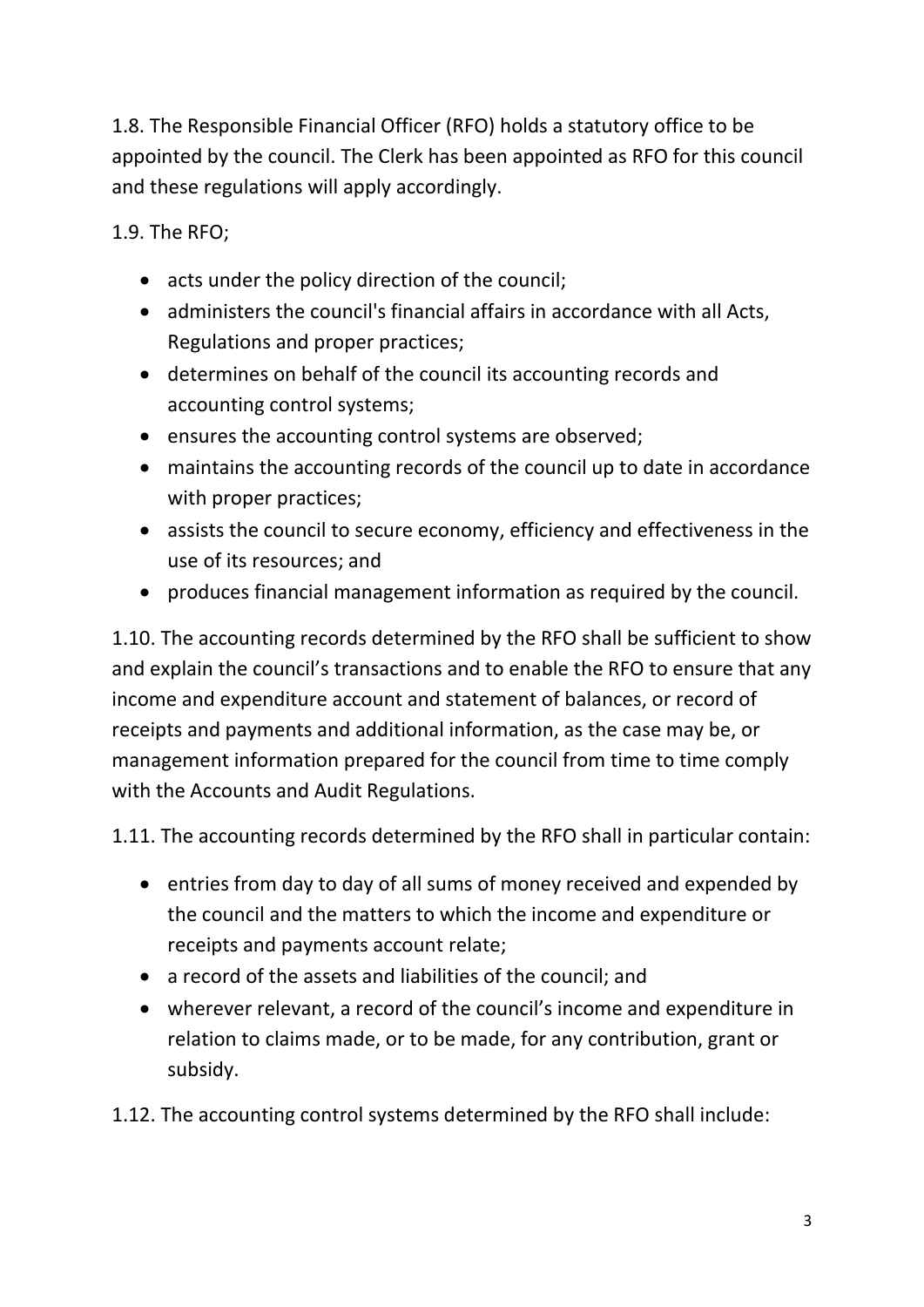1.8. The Responsible Financial Officer (RFO) holds a statutory office to be appointed by the council. The Clerk has been appointed as RFO for this council and these regulations will apply accordingly.

1.9. The RFO;

- acts under the policy direction of the council;
- administers the council's financial affairs in accordance with all Acts, Regulations and proper practices;
- determines on behalf of the council its accounting records and accounting control systems;
- ensures the accounting control systems are observed;
- maintains the accounting records of the council up to date in accordance with proper practices;
- assists the council to secure economy, efficiency and effectiveness in the use of its resources; and
- produces financial management information as required by the council.

1.10. The accounting records determined by the RFO shall be sufficient to show and explain the council's transactions and to enable the RFO to ensure that any income and expenditure account and statement of balances, or record of receipts and payments and additional information, as the case may be, or management information prepared for the council from time to time comply with the Accounts and Audit Regulations.

1.11. The accounting records determined by the RFO shall in particular contain:

- entries from day to day of all sums of money received and expended by the council and the matters to which the income and expenditure or receipts and payments account relate;
- a record of the assets and liabilities of the council; and
- wherever relevant, a record of the council's income and expenditure in relation to claims made, or to be made, for any contribution, grant or subsidy.
- 1.12. The accounting control systems determined by the RFO shall include: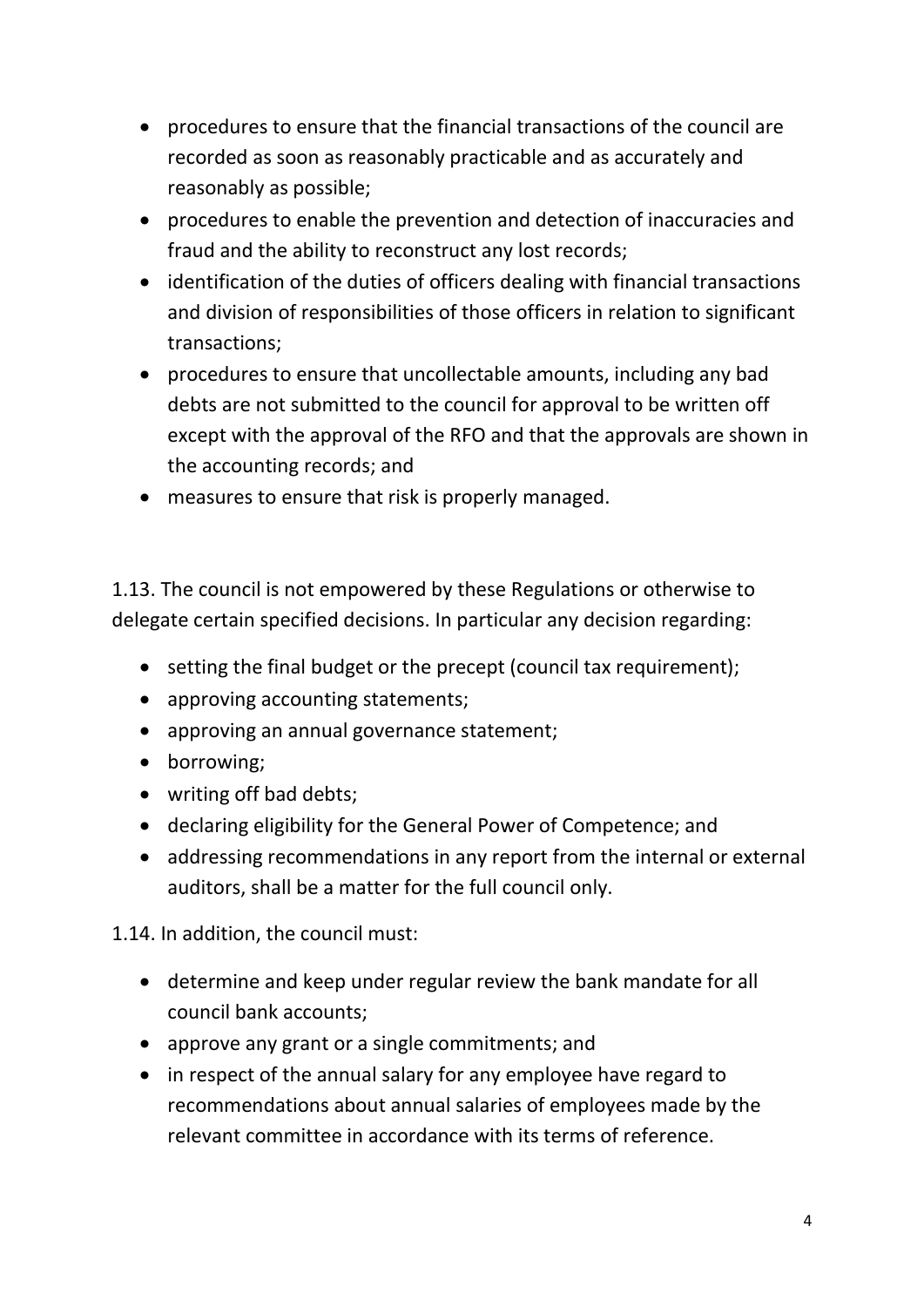- procedures to ensure that the financial transactions of the council are recorded as soon as reasonably practicable and as accurately and reasonably as possible;
- procedures to enable the prevention and detection of inaccuracies and fraud and the ability to reconstruct any lost records;
- identification of the duties of officers dealing with financial transactions and division of responsibilities of those officers in relation to significant transactions;
- procedures to ensure that uncollectable amounts, including any bad debts are not submitted to the council for approval to be written off except with the approval of the RFO and that the approvals are shown in the accounting records; and
- measures to ensure that risk is properly managed.

1.13. The council is not empowered by these Regulations or otherwise to delegate certain specified decisions. In particular any decision regarding:

- setting the final budget or the precept (council tax requirement);
- approving accounting statements;
- approving an annual governance statement;
- borrowing;
- writing off bad debts;
- declaring eligibility for the General Power of Competence; and
- addressing recommendations in any report from the internal or external auditors, shall be a matter for the full council only.

1.14. In addition, the council must:

- determine and keep under regular review the bank mandate for all council bank accounts;
- approve any grant or a single commitments; and
- in respect of the annual salary for any employee have regard to recommendations about annual salaries of employees made by the relevant committee in accordance with its terms of reference.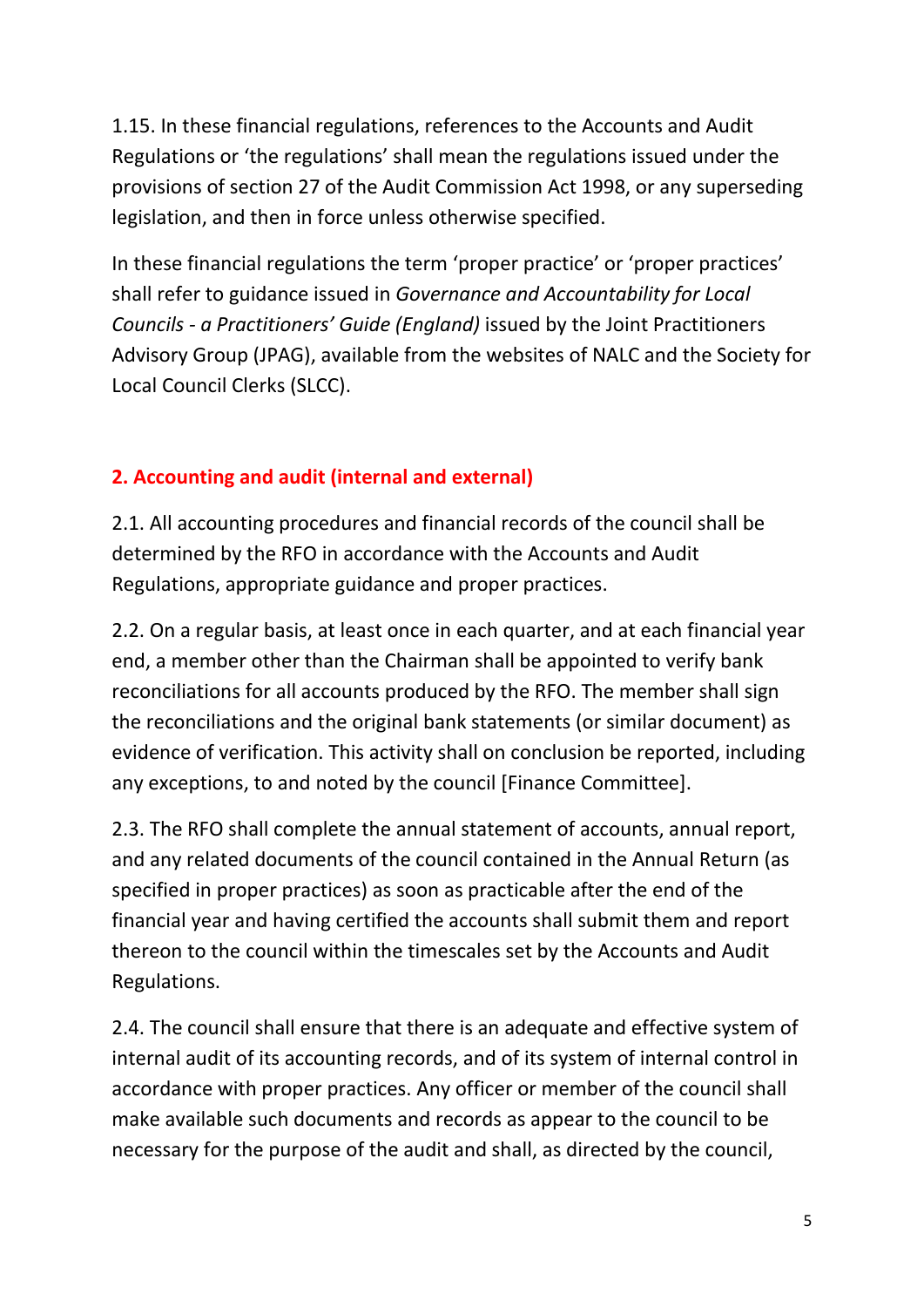1.15. In these financial regulations, references to the Accounts and Audit Regulations or 'the regulations' shall mean the regulations issued under the provisions of section 27 of the Audit Commission Act 1998, or any superseding legislation, and then in force unless otherwise specified.

In these financial regulations the term 'proper practice' or 'proper practices' shall refer to guidance issued in *Governance and Accountability for Local Councils - a Practitioners' Guide (England)* issued by the Joint Practitioners Advisory Group (JPAG), available from the websites of NALC and the Society for Local Council Clerks (SLCC).

# **2. Accounting and audit (internal and external)**

2.1. All accounting procedures and financial records of the council shall be determined by the RFO in accordance with the Accounts and Audit Regulations, appropriate guidance and proper practices.

2.2. On a regular basis, at least once in each quarter, and at each financial year end, a member other than the Chairman shall be appointed to verify bank reconciliations for all accounts produced by the RFO. The member shall sign the reconciliations and the original bank statements (or similar document) as evidence of verification. This activity shall on conclusion be reported, including any exceptions, to and noted by the council [Finance Committee].

2.3. The RFO shall complete the annual statement of accounts, annual report, and any related documents of the council contained in the Annual Return (as specified in proper practices) as soon as practicable after the end of the financial year and having certified the accounts shall submit them and report thereon to the council within the timescales set by the Accounts and Audit Regulations.

2.4. The council shall ensure that there is an adequate and effective system of internal audit of its accounting records, and of its system of internal control in accordance with proper practices. Any officer or member of the council shall make available such documents and records as appear to the council to be necessary for the purpose of the audit and shall, as directed by the council,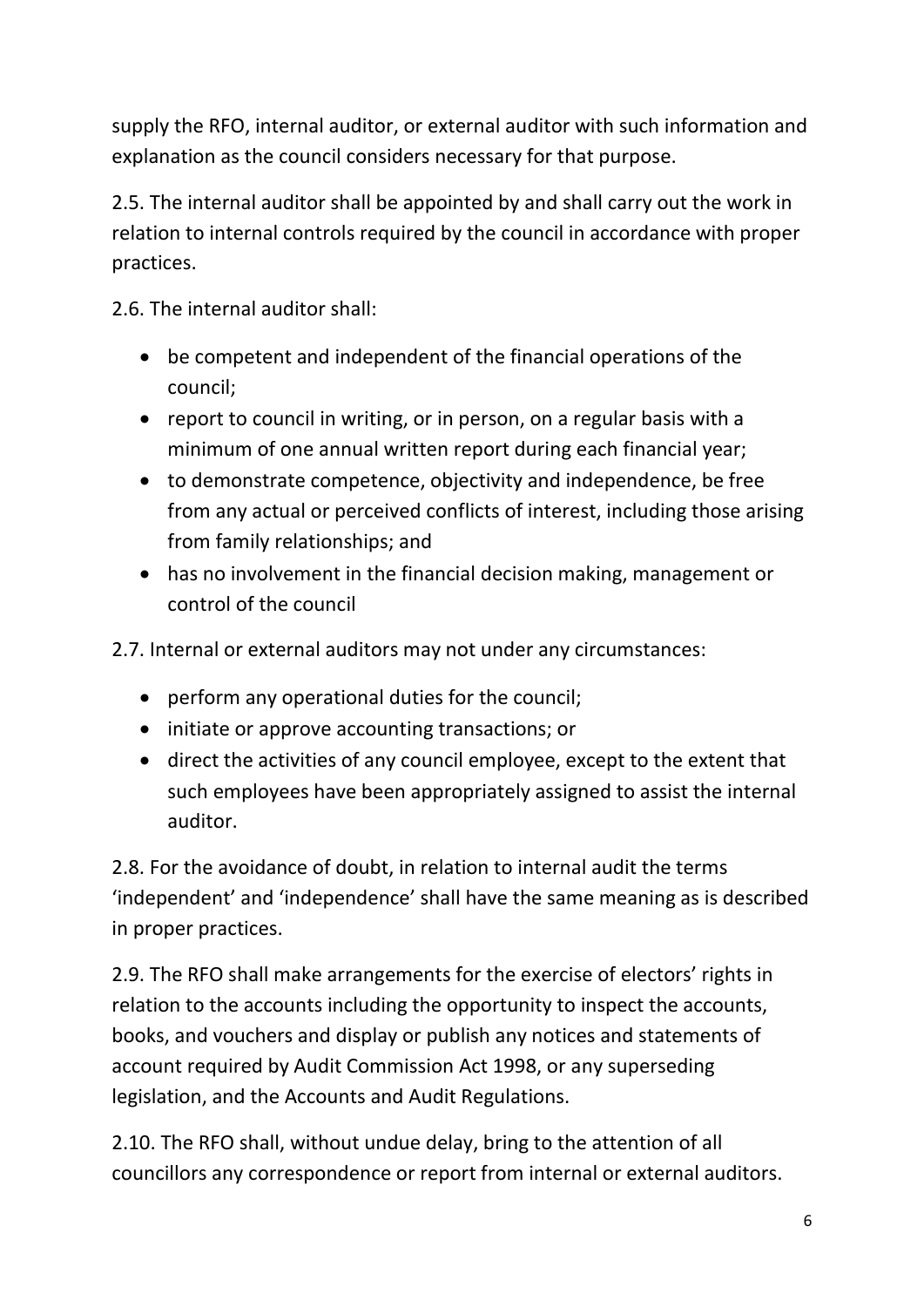supply the RFO, internal auditor, or external auditor with such information and explanation as the council considers necessary for that purpose.

2.5. The internal auditor shall be appointed by and shall carry out the work in relation to internal controls required by the council in accordance with proper practices.

2.6. The internal auditor shall:

- be competent and independent of the financial operations of the council;
- report to council in writing, or in person, on a regular basis with a minimum of one annual written report during each financial year;
- to demonstrate competence, objectivity and independence, be free from any actual or perceived conflicts of interest, including those arising from family relationships; and
- has no involvement in the financial decision making, management or control of the council

2.7. Internal or external auditors may not under any circumstances:

- perform any operational duties for the council;
- initiate or approve accounting transactions; or
- direct the activities of any council employee, except to the extent that such employees have been appropriately assigned to assist the internal auditor.

2.8. For the avoidance of doubt, in relation to internal audit the terms 'independent' and 'independence' shall have the same meaning as is described in proper practices.

2.9. The RFO shall make arrangements for the exercise of electors' rights in relation to the accounts including the opportunity to inspect the accounts, books, and vouchers and display or publish any notices and statements of account required by Audit Commission Act 1998, or any superseding legislation, and the Accounts and Audit Regulations.

2.10. The RFO shall, without undue delay, bring to the attention of all councillors any correspondence or report from internal or external auditors.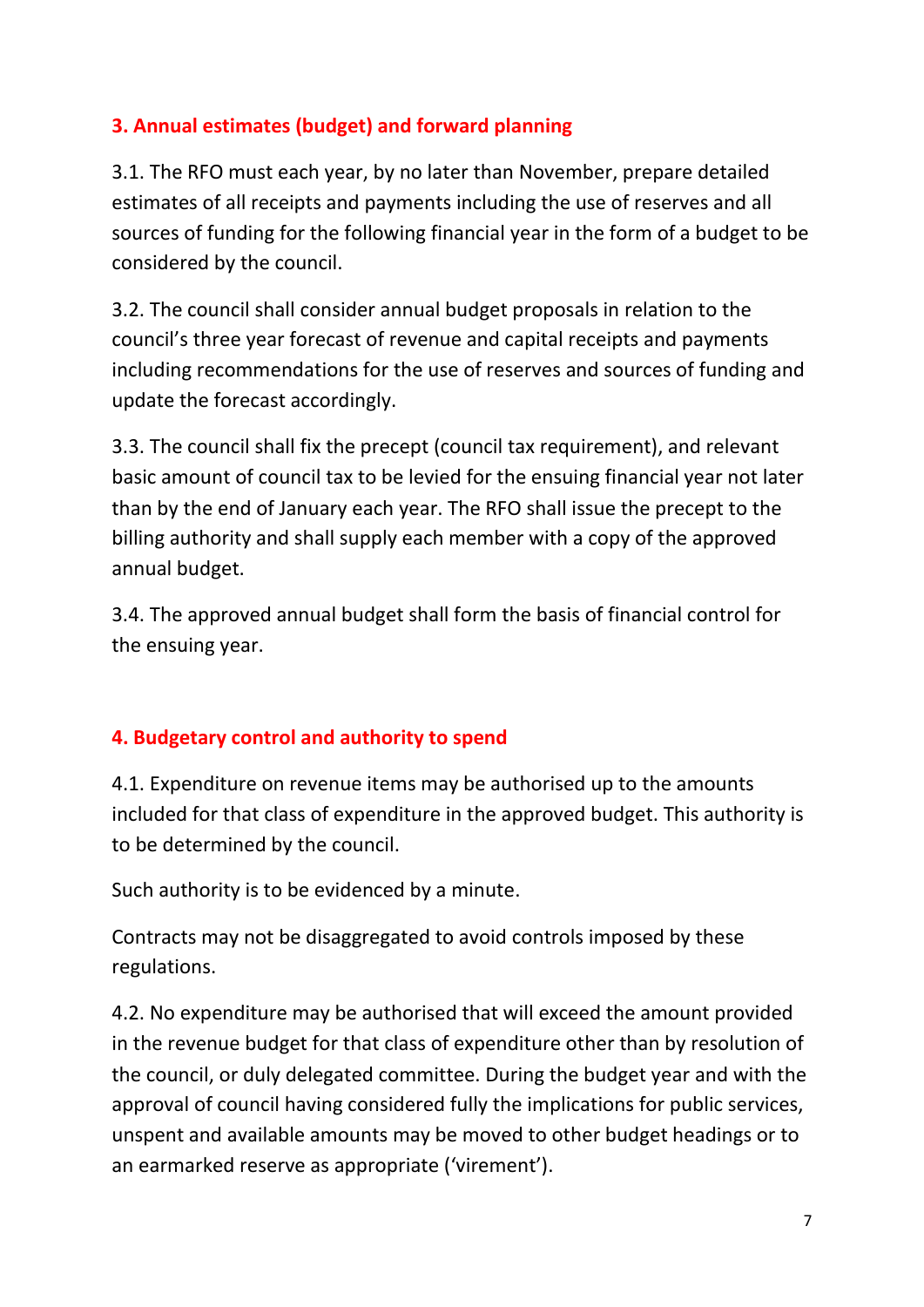# **3. Annual estimates (budget) and forward planning**

3.1. The RFO must each year, by no later than November, prepare detailed estimates of all receipts and payments including the use of reserves and all sources of funding for the following financial year in the form of a budget to be considered by the council.

3.2. The council shall consider annual budget proposals in relation to the council's three year forecast of revenue and capital receipts and payments including recommendations for the use of reserves and sources of funding and update the forecast accordingly.

3.3. The council shall fix the precept (council tax requirement), and relevant basic amount of council tax to be levied for the ensuing financial year not later than by the end of January each year. The RFO shall issue the precept to the billing authority and shall supply each member with a copy of the approved annual budget.

3.4. The approved annual budget shall form the basis of financial control for the ensuing year.

# **4. Budgetary control and authority to spend**

4.1. Expenditure on revenue items may be authorised up to the amounts included for that class of expenditure in the approved budget. This authority is to be determined by the council.

Such authority is to be evidenced by a minute.

Contracts may not be disaggregated to avoid controls imposed by these regulations.

4.2. No expenditure may be authorised that will exceed the amount provided in the revenue budget for that class of expenditure other than by resolution of the council, or duly delegated committee. During the budget year and with the approval of council having considered fully the implications for public services, unspent and available amounts may be moved to other budget headings or to an earmarked reserve as appropriate ('virement').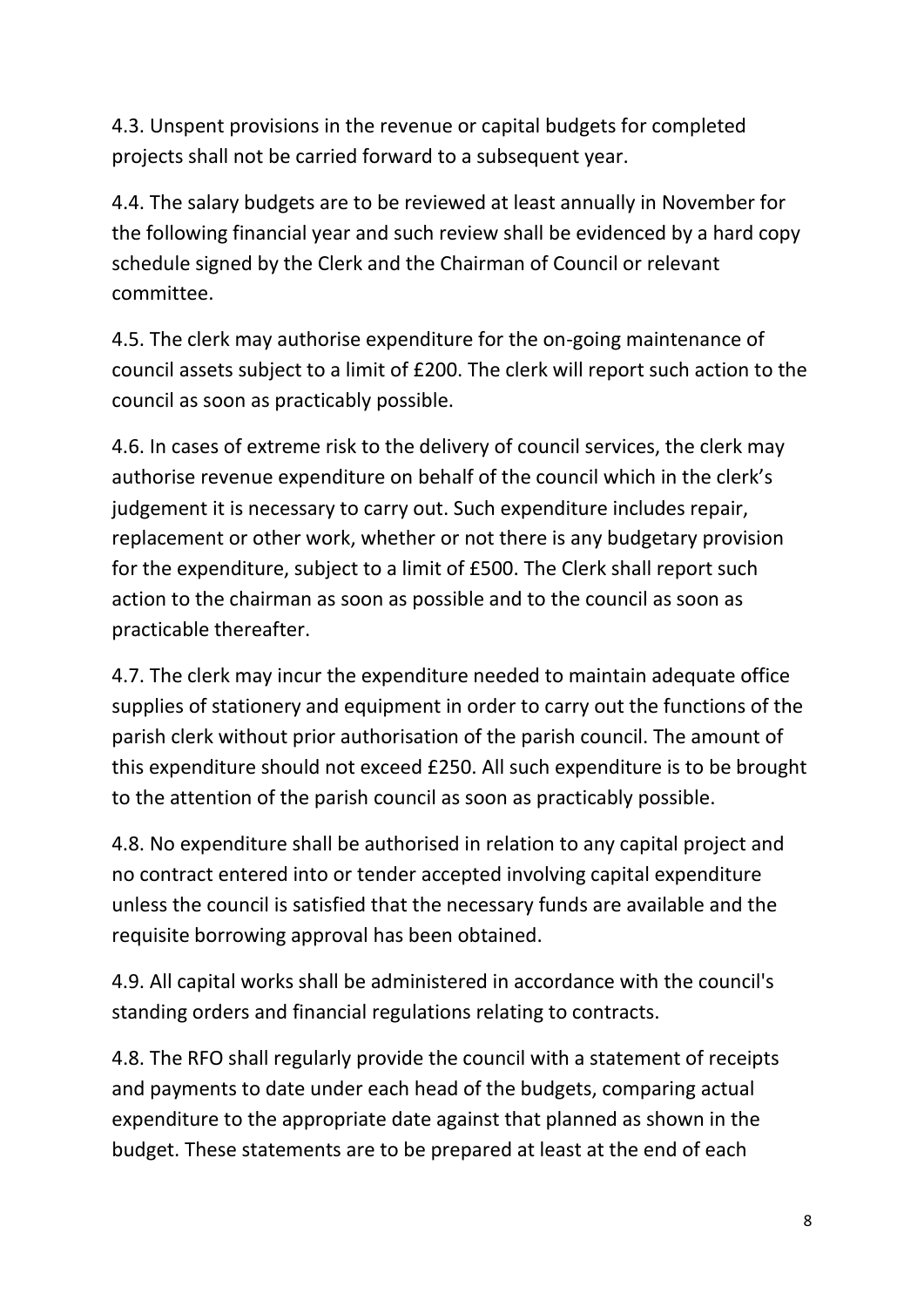4.3. Unspent provisions in the revenue or capital budgets for completed projects shall not be carried forward to a subsequent year.

4.4. The salary budgets are to be reviewed at least annually in November for the following financial year and such review shall be evidenced by a hard copy schedule signed by the Clerk and the Chairman of Council or relevant committee.

4.5. The clerk may authorise expenditure for the on-going maintenance of council assets subject to a limit of £200. The clerk will report such action to the council as soon as practicably possible.

4.6. In cases of extreme risk to the delivery of council services, the clerk may authorise revenue expenditure on behalf of the council which in the clerk's judgement it is necessary to carry out. Such expenditure includes repair, replacement or other work, whether or not there is any budgetary provision for the expenditure, subject to a limit of £500. The Clerk shall report such action to the chairman as soon as possible and to the council as soon as practicable thereafter.

4.7. The clerk may incur the expenditure needed to maintain adequate office supplies of stationery and equipment in order to carry out the functions of the parish clerk without prior authorisation of the parish council. The amount of this expenditure should not exceed £250. All such expenditure is to be brought to the attention of the parish council as soon as practicably possible.

4.8. No expenditure shall be authorised in relation to any capital project and no contract entered into or tender accepted involving capital expenditure unless the council is satisfied that the necessary funds are available and the requisite borrowing approval has been obtained.

4.9. All capital works shall be administered in accordance with the council's standing orders and financial regulations relating to contracts.

4.8. The RFO shall regularly provide the council with a statement of receipts and payments to date under each head of the budgets, comparing actual expenditure to the appropriate date against that planned as shown in the budget. These statements are to be prepared at least at the end of each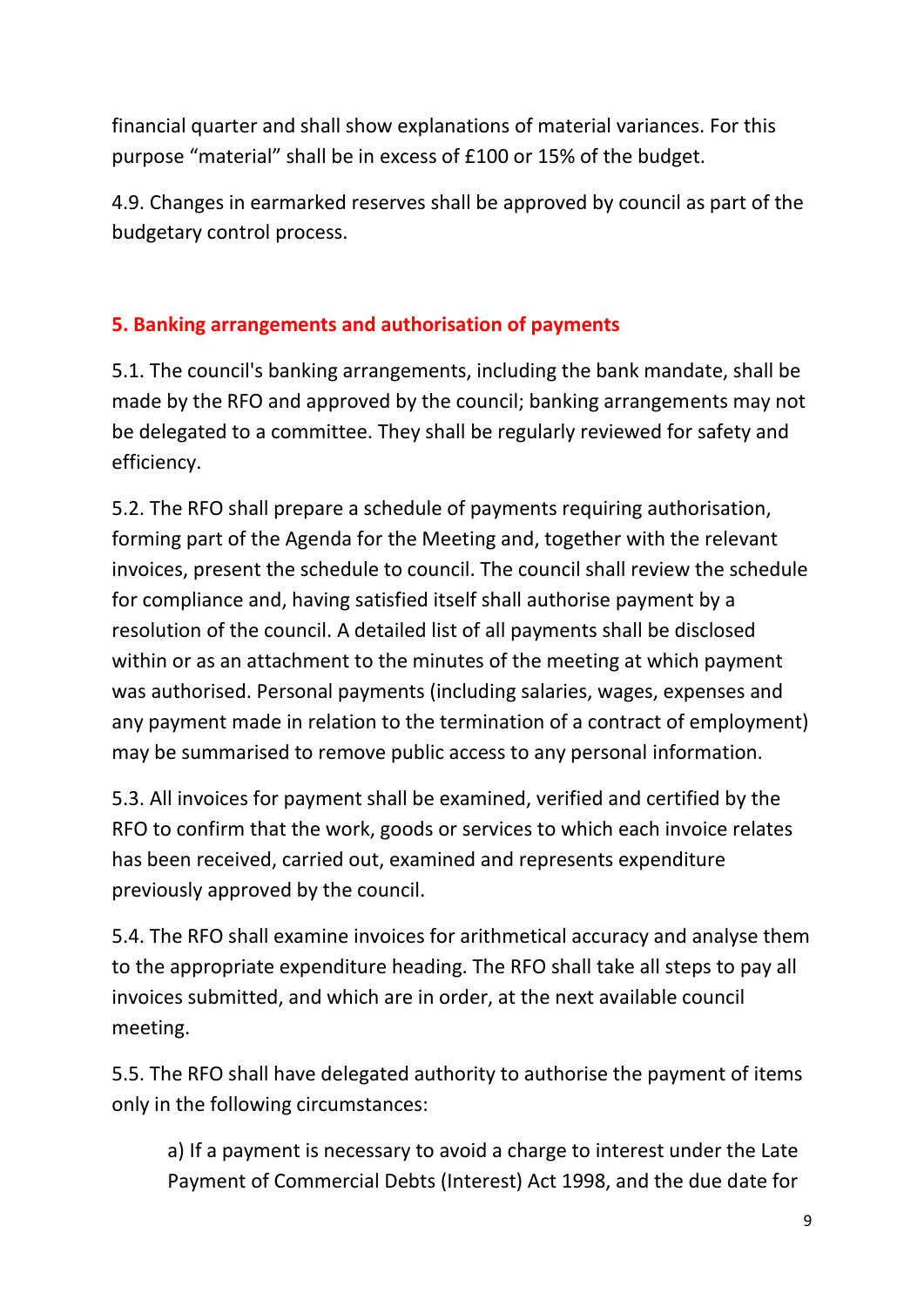financial quarter and shall show explanations of material variances. For this purpose "material" shall be in excess of £100 or 15% of the budget.

4.9. Changes in earmarked reserves shall be approved by council as part of the budgetary control process.

# **5. Banking arrangements and authorisation of payments**

5.1. The council's banking arrangements, including the bank mandate, shall be made by the RFO and approved by the council; banking arrangements may not be delegated to a committee. They shall be regularly reviewed for safety and efficiency.

5.2. The RFO shall prepare a schedule of payments requiring authorisation, forming part of the Agenda for the Meeting and, together with the relevant invoices, present the schedule to council. The council shall review the schedule for compliance and, having satisfied itself shall authorise payment by a resolution of the council. A detailed list of all payments shall be disclosed within or as an attachment to the minutes of the meeting at which payment was authorised. Personal payments (including salaries, wages, expenses and any payment made in relation to the termination of a contract of employment) may be summarised to remove public access to any personal information.

5.3. All invoices for payment shall be examined, verified and certified by the RFO to confirm that the work, goods or services to which each invoice relates has been received, carried out, examined and represents expenditure previously approved by the council.

5.4. The RFO shall examine invoices for arithmetical accuracy and analyse them to the appropriate expenditure heading. The RFO shall take all steps to pay all invoices submitted, and which are in order, at the next available council meeting.

5.5. The RFO shall have delegated authority to authorise the payment of items only in the following circumstances:

a) If a payment is necessary to avoid a charge to interest under the Late Payment of Commercial Debts (Interest) Act 1998, and the due date for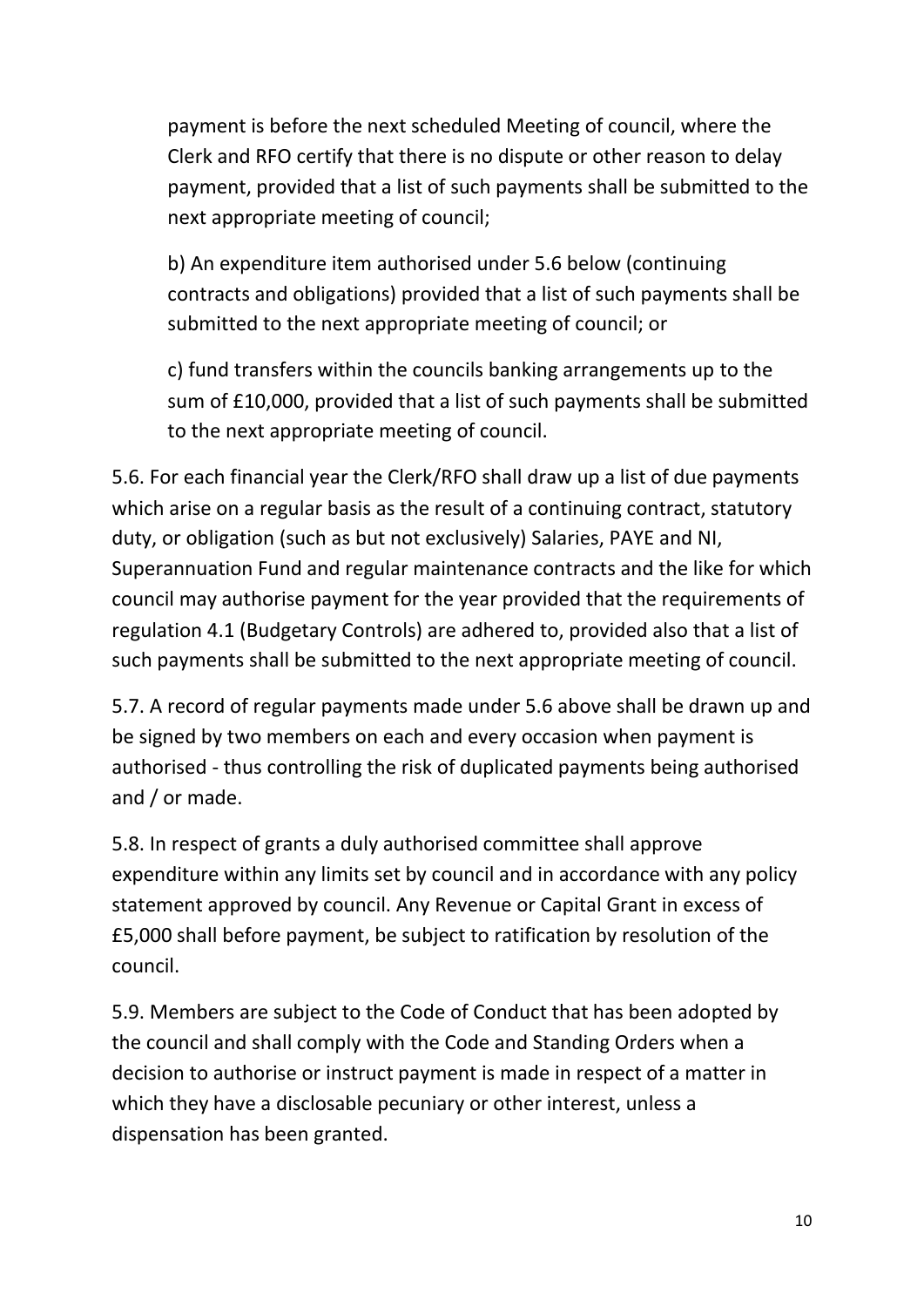payment is before the next scheduled Meeting of council, where the Clerk and RFO certify that there is no dispute or other reason to delay payment, provided that a list of such payments shall be submitted to the next appropriate meeting of council;

b) An expenditure item authorised under 5.6 below (continuing contracts and obligations) provided that a list of such payments shall be submitted to the next appropriate meeting of council; or

c) fund transfers within the councils banking arrangements up to the sum of £10,000, provided that a list of such payments shall be submitted to the next appropriate meeting of council.

5.6. For each financial year the Clerk/RFO shall draw up a list of due payments which arise on a regular basis as the result of a continuing contract, statutory duty, or obligation (such as but not exclusively) Salaries, PAYE and NI, Superannuation Fund and regular maintenance contracts and the like for which council may authorise payment for the year provided that the requirements of regulation 4.1 (Budgetary Controls) are adhered to, provided also that a list of such payments shall be submitted to the next appropriate meeting of council.

5.7. A record of regular payments made under 5.6 above shall be drawn up and be signed by two members on each and every occasion when payment is authorised - thus controlling the risk of duplicated payments being authorised and / or made.

5.8. In respect of grants a duly authorised committee shall approve expenditure within any limits set by council and in accordance with any policy statement approved by council. Any Revenue or Capital Grant in excess of £5,000 shall before payment, be subject to ratification by resolution of the council.

5.9. Members are subject to the Code of Conduct that has been adopted by the council and shall comply with the Code and Standing Orders when a decision to authorise or instruct payment is made in respect of a matter in which they have a disclosable pecuniary or other interest, unless a dispensation has been granted.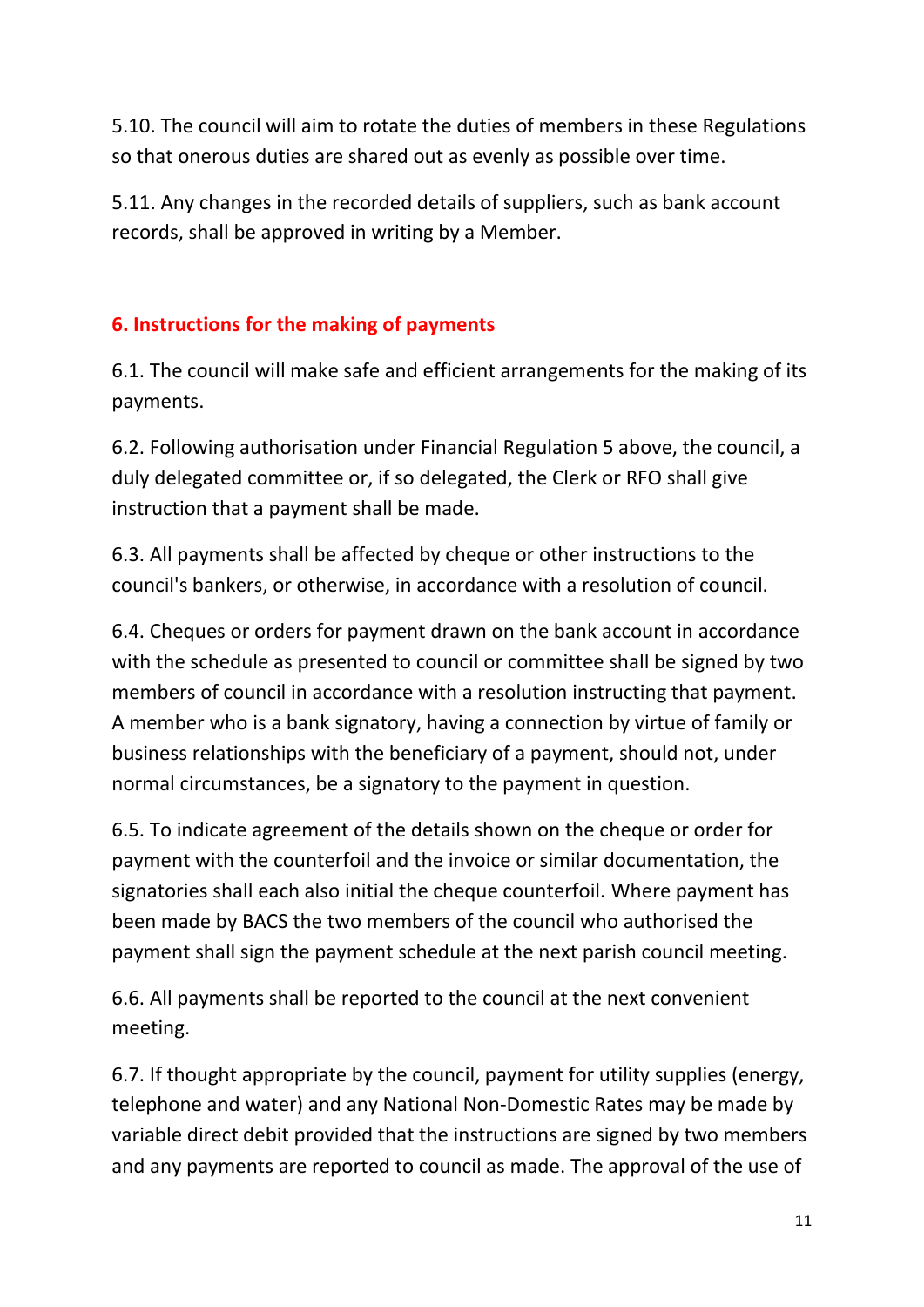5.10. The council will aim to rotate the duties of members in these Regulations so that onerous duties are shared out as evenly as possible over time.

5.11. Any changes in the recorded details of suppliers, such as bank account records, shall be approved in writing by a Member.

# **6. Instructions for the making of payments**

6.1. The council will make safe and efficient arrangements for the making of its payments.

6.2. Following authorisation under Financial Regulation 5 above, the council, a duly delegated committee or, if so delegated, the Clerk or RFO shall give instruction that a payment shall be made.

6.3. All payments shall be affected by cheque or other instructions to the council's bankers, or otherwise, in accordance with a resolution of council.

6.4. Cheques or orders for payment drawn on the bank account in accordance with the schedule as presented to council or committee shall be signed by two members of council in accordance with a resolution instructing that payment. A member who is a bank signatory, having a connection by virtue of family or business relationships with the beneficiary of a payment, should not, under normal circumstances, be a signatory to the payment in question.

6.5. To indicate agreement of the details shown on the cheque or order for payment with the counterfoil and the invoice or similar documentation, the signatories shall each also initial the cheque counterfoil. Where payment has been made by BACS the two members of the council who authorised the payment shall sign the payment schedule at the next parish council meeting.

6.6. All payments shall be reported to the council at the next convenient meeting.

6.7. If thought appropriate by the council, payment for utility supplies (energy, telephone and water) and any National Non-Domestic Rates may be made by variable direct debit provided that the instructions are signed by two members and any payments are reported to council as made. The approval of the use of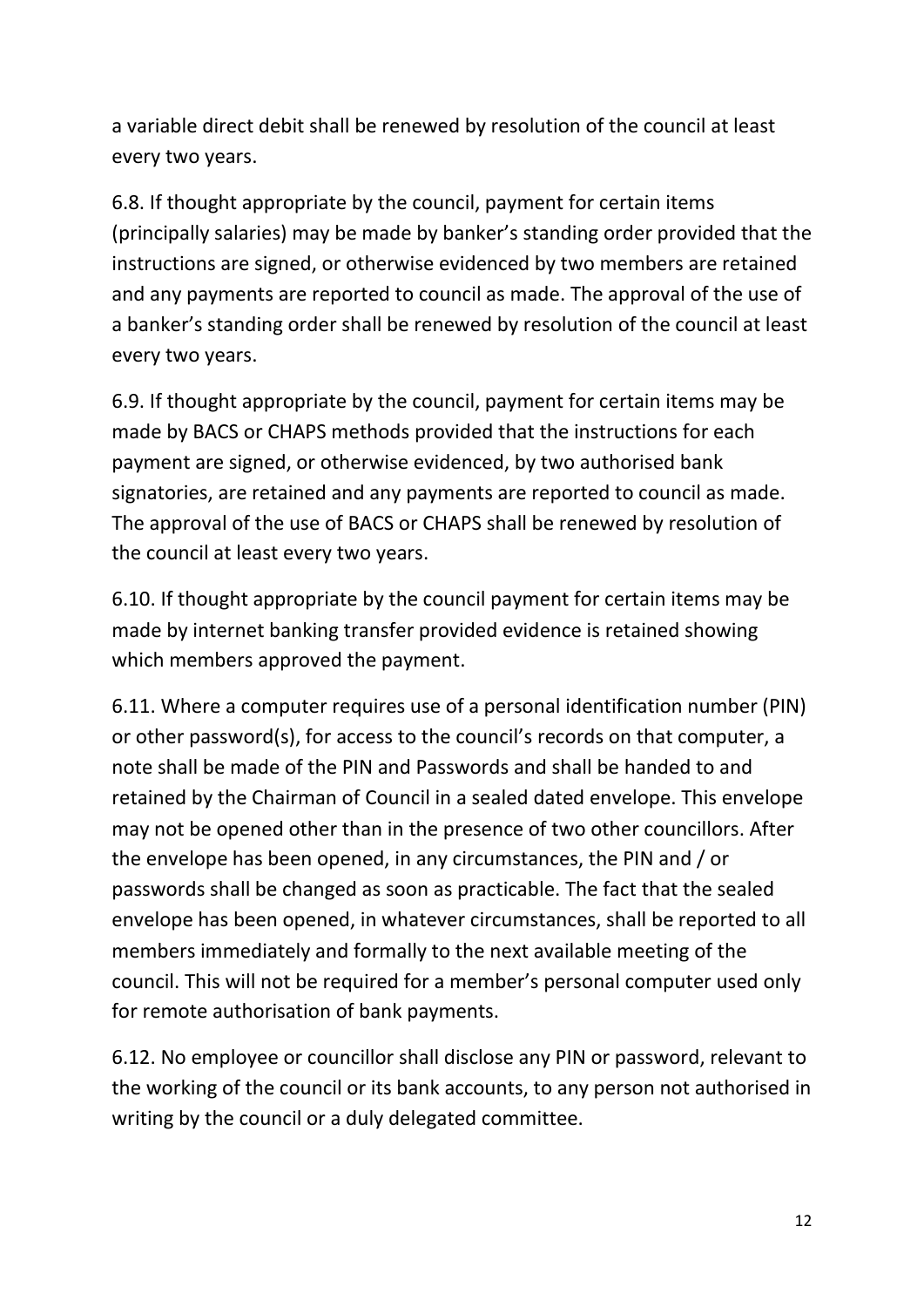a variable direct debit shall be renewed by resolution of the council at least every two years.

6.8. If thought appropriate by the council, payment for certain items (principally salaries) may be made by banker's standing order provided that the instructions are signed, or otherwise evidenced by two members are retained and any payments are reported to council as made. The approval of the use of a banker's standing order shall be renewed by resolution of the council at least every two years.

6.9. If thought appropriate by the council, payment for certain items may be made by BACS or CHAPS methods provided that the instructions for each payment are signed, or otherwise evidenced, by two authorised bank signatories, are retained and any payments are reported to council as made. The approval of the use of BACS or CHAPS shall be renewed by resolution of the council at least every two years.

6.10. If thought appropriate by the council payment for certain items may be made by internet banking transfer provided evidence is retained showing which members approved the payment.

6.11. Where a computer requires use of a personal identification number (PIN) or other password(s), for access to the council's records on that computer, a note shall be made of the PIN and Passwords and shall be handed to and retained by the Chairman of Council in a sealed dated envelope. This envelope may not be opened other than in the presence of two other councillors. After the envelope has been opened, in any circumstances, the PIN and / or passwords shall be changed as soon as practicable. The fact that the sealed envelope has been opened, in whatever circumstances, shall be reported to all members immediately and formally to the next available meeting of the council. This will not be required for a member's personal computer used only for remote authorisation of bank payments.

6.12. No employee or councillor shall disclose any PIN or password, relevant to the working of the council or its bank accounts, to any person not authorised in writing by the council or a duly delegated committee.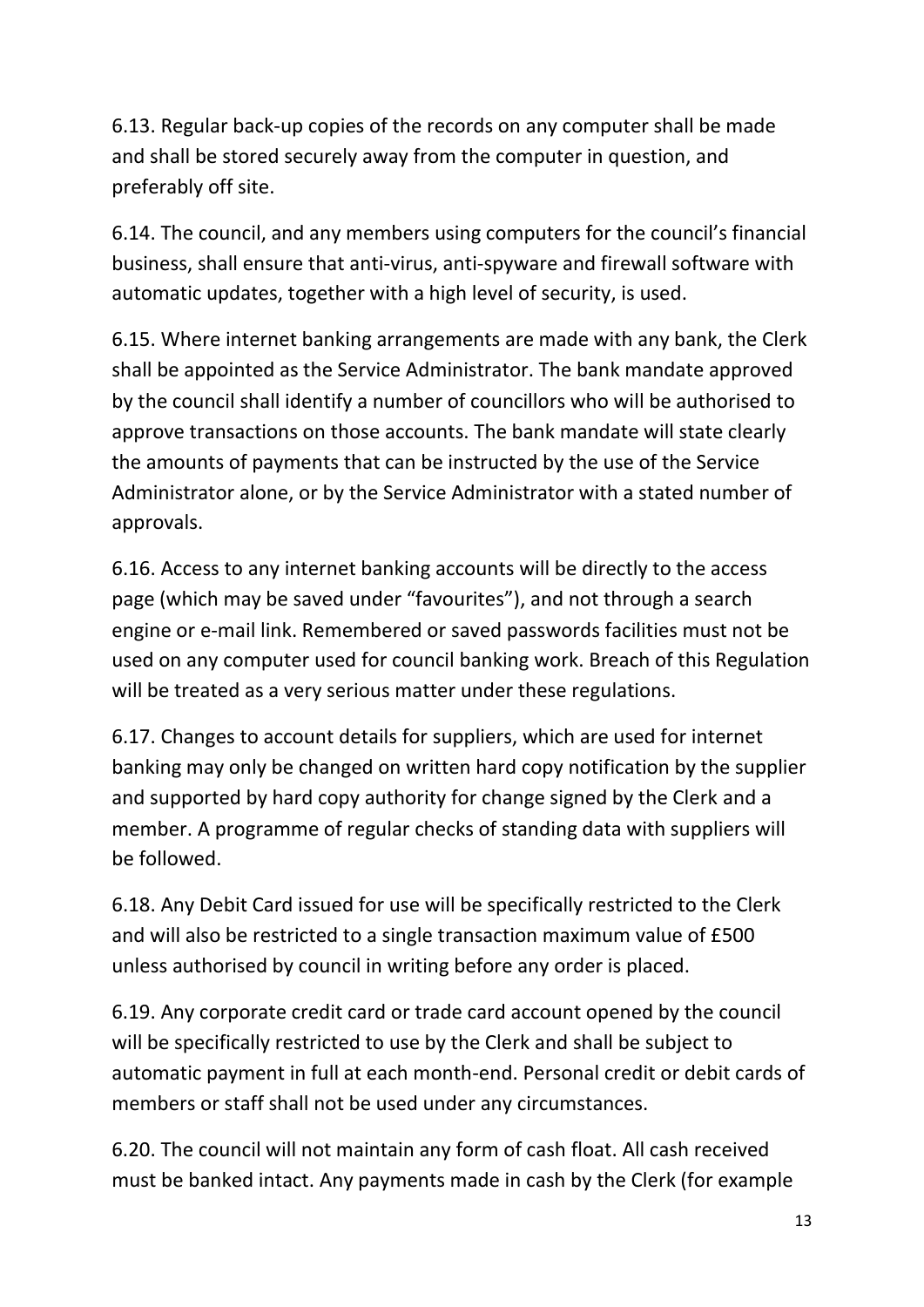6.13. Regular back-up copies of the records on any computer shall be made and shall be stored securely away from the computer in question, and preferably off site.

6.14. The council, and any members using computers for the council's financial business, shall ensure that anti-virus, anti-spyware and firewall software with automatic updates, together with a high level of security, is used.

6.15. Where internet banking arrangements are made with any bank, the Clerk shall be appointed as the Service Administrator. The bank mandate approved by the council shall identify a number of councillors who will be authorised to approve transactions on those accounts. The bank mandate will state clearly the amounts of payments that can be instructed by the use of the Service Administrator alone, or by the Service Administrator with a stated number of approvals.

6.16. Access to any internet banking accounts will be directly to the access page (which may be saved under "favourites"), and not through a search engine or e-mail link. Remembered or saved passwords facilities must not be used on any computer used for council banking work. Breach of this Regulation will be treated as a very serious matter under these regulations.

6.17. Changes to account details for suppliers, which are used for internet banking may only be changed on written hard copy notification by the supplier and supported by hard copy authority for change signed by the Clerk and a member. A programme of regular checks of standing data with suppliers will be followed.

6.18. Any Debit Card issued for use will be specifically restricted to the Clerk and will also be restricted to a single transaction maximum value of £500 unless authorised by council in writing before any order is placed.

6.19. Any corporate credit card or trade card account opened by the council will be specifically restricted to use by the Clerk and shall be subject to automatic payment in full at each month-end. Personal credit or debit cards of members or staff shall not be used under any circumstances.

6.20. The council will not maintain any form of cash float. All cash received must be banked intact. Any payments made in cash by the Clerk (for example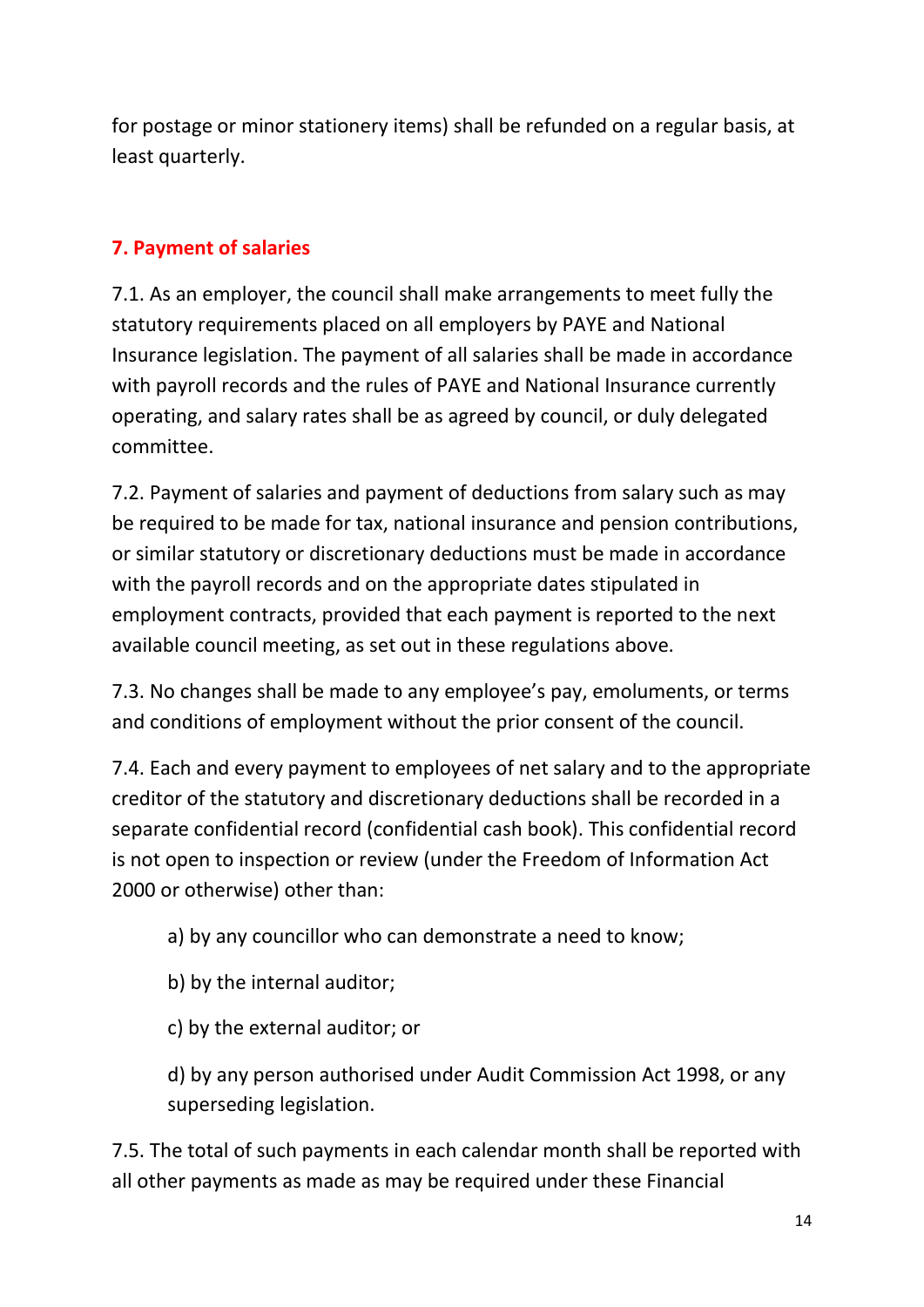for postage or minor stationery items) shall be refunded on a regular basis, at least quarterly.

# **7. Payment of salaries**

7.1. As an employer, the council shall make arrangements to meet fully the statutory requirements placed on all employers by PAYE and National Insurance legislation. The payment of all salaries shall be made in accordance with payroll records and the rules of PAYE and National Insurance currently operating, and salary rates shall be as agreed by council, or duly delegated committee.

7.2. Payment of salaries and payment of deductions from salary such as may be required to be made for tax, national insurance and pension contributions, or similar statutory or discretionary deductions must be made in accordance with the payroll records and on the appropriate dates stipulated in employment contracts, provided that each payment is reported to the next available council meeting, as set out in these regulations above.

7.3. No changes shall be made to any employee's pay, emoluments, or terms and conditions of employment without the prior consent of the council.

7.4. Each and every payment to employees of net salary and to the appropriate creditor of the statutory and discretionary deductions shall be recorded in a separate confidential record (confidential cash book). This confidential record is not open to inspection or review (under the Freedom of Information Act 2000 or otherwise) other than:

a) by any councillor who can demonstrate a need to know;

b) by the internal auditor;

c) by the external auditor; or

d) by any person authorised under Audit Commission Act 1998, or any superseding legislation.

7.5. The total of such payments in each calendar month shall be reported with all other payments as made as may be required under these Financial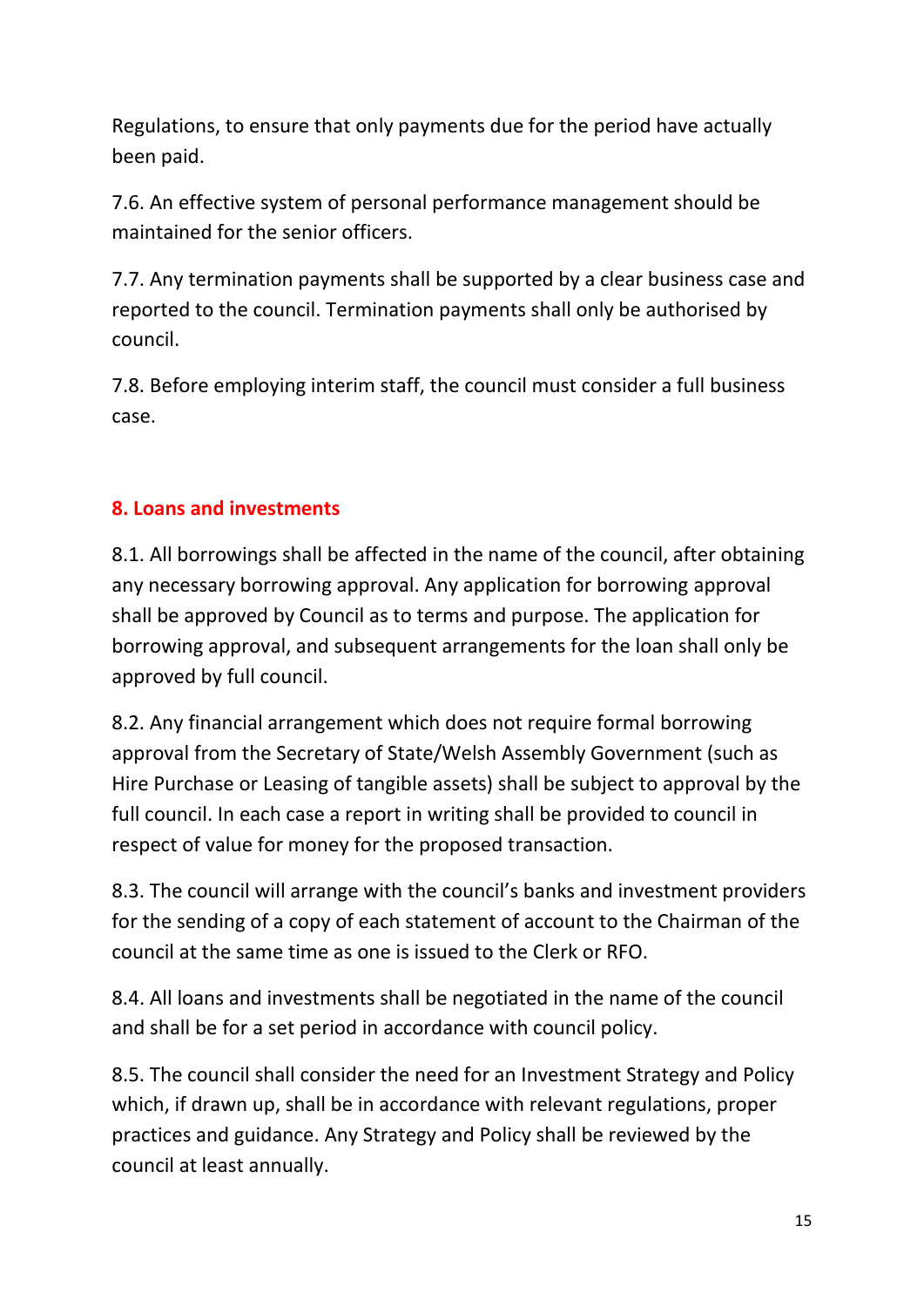Regulations, to ensure that only payments due for the period have actually been paid.

7.6. An effective system of personal performance management should be maintained for the senior officers.

7.7. Any termination payments shall be supported by a clear business case and reported to the council. Termination payments shall only be authorised by council.

7.8. Before employing interim staff, the council must consider a full business case.

# **8. Loans and investments**

8.1. All borrowings shall be affected in the name of the council, after obtaining any necessary borrowing approval. Any application for borrowing approval shall be approved by Council as to terms and purpose. The application for borrowing approval, and subsequent arrangements for the loan shall only be approved by full council.

8.2. Any financial arrangement which does not require formal borrowing approval from the Secretary of State/Welsh Assembly Government (such as Hire Purchase or Leasing of tangible assets) shall be subject to approval by the full council. In each case a report in writing shall be provided to council in respect of value for money for the proposed transaction.

8.3. The council will arrange with the council's banks and investment providers for the sending of a copy of each statement of account to the Chairman of the council at the same time as one is issued to the Clerk or RFO.

8.4. All loans and investments shall be negotiated in the name of the council and shall be for a set period in accordance with council policy.

8.5. The council shall consider the need for an Investment Strategy and Policy which, if drawn up, shall be in accordance with relevant regulations, proper practices and guidance. Any Strategy and Policy shall be reviewed by the council at least annually.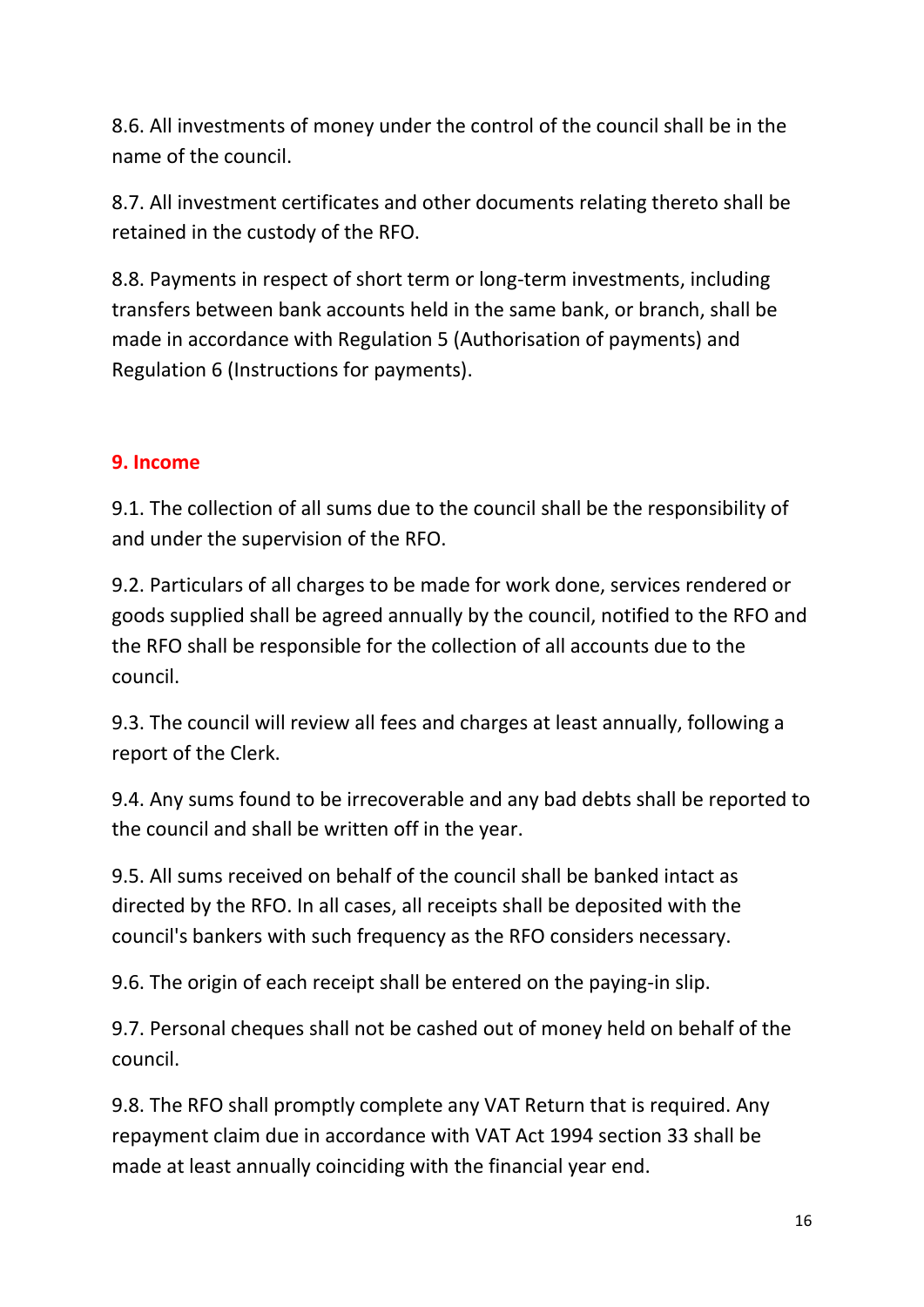8.6. All investments of money under the control of the council shall be in the name of the council.

8.7. All investment certificates and other documents relating thereto shall be retained in the custody of the RFO.

8.8. Payments in respect of short term or long-term investments, including transfers between bank accounts held in the same bank, or branch, shall be made in accordance with Regulation 5 (Authorisation of payments) and Regulation 6 (Instructions for payments).

# **9. Income**

9.1. The collection of all sums due to the council shall be the responsibility of and under the supervision of the RFO.

9.2. Particulars of all charges to be made for work done, services rendered or goods supplied shall be agreed annually by the council, notified to the RFO and the RFO shall be responsible for the collection of all accounts due to the council.

9.3. The council will review all fees and charges at least annually, following a report of the Clerk.

9.4. Any sums found to be irrecoverable and any bad debts shall be reported to the council and shall be written off in the year.

9.5. All sums received on behalf of the council shall be banked intact as directed by the RFO. In all cases, all receipts shall be deposited with the council's bankers with such frequency as the RFO considers necessary.

9.6. The origin of each receipt shall be entered on the paying-in slip.

9.7. Personal cheques shall not be cashed out of money held on behalf of the council.

9.8. The RFO shall promptly complete any VAT Return that is required. Any repayment claim due in accordance with VAT Act 1994 section 33 shall be made at least annually coinciding with the financial year end.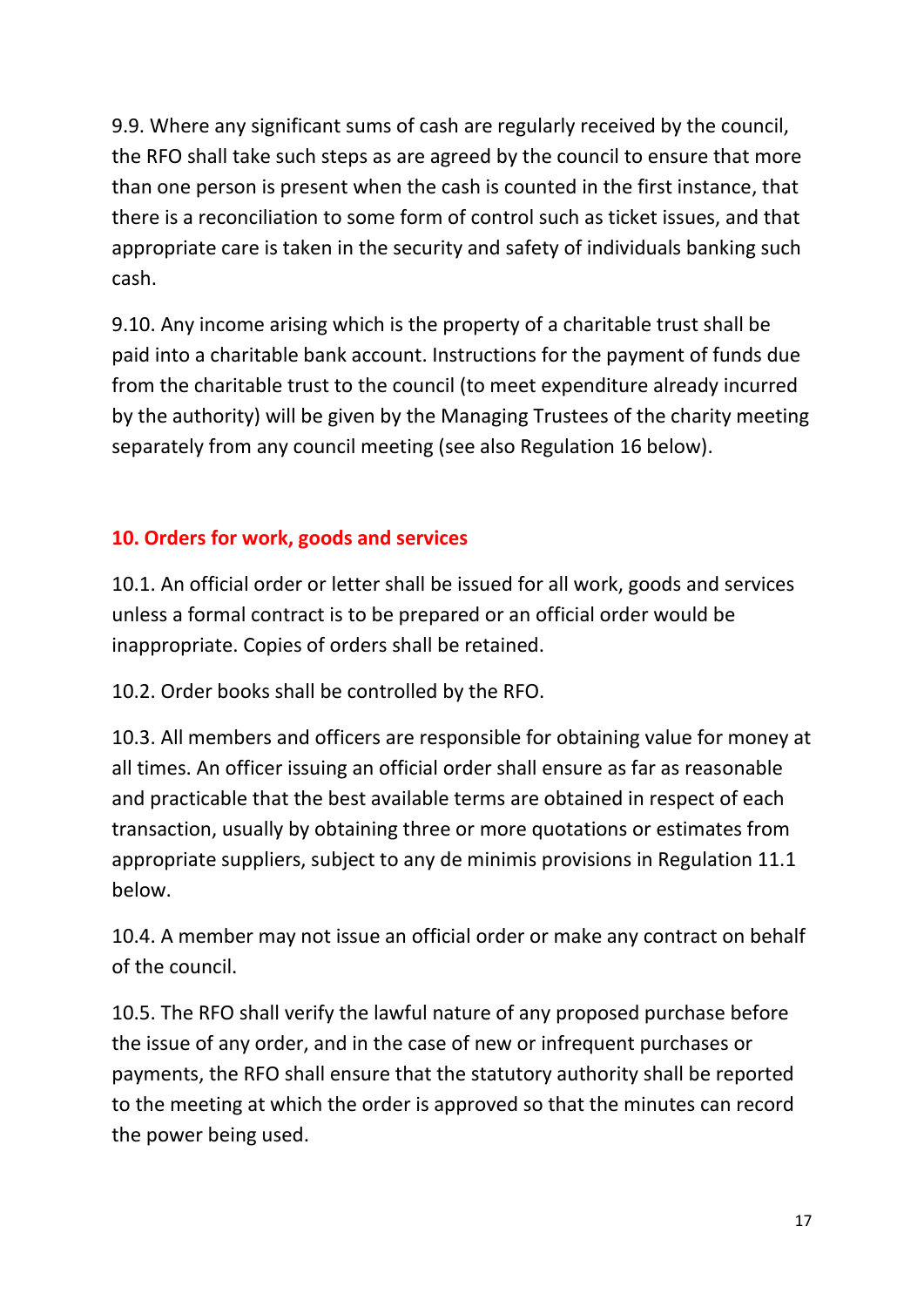9.9. Where any significant sums of cash are regularly received by the council, the RFO shall take such steps as are agreed by the council to ensure that more than one person is present when the cash is counted in the first instance, that there is a reconciliation to some form of control such as ticket issues, and that appropriate care is taken in the security and safety of individuals banking such cash.

9.10. Any income arising which is the property of a charitable trust shall be paid into a charitable bank account. Instructions for the payment of funds due from the charitable trust to the council (to meet expenditure already incurred by the authority) will be given by the Managing Trustees of the charity meeting separately from any council meeting (see also Regulation 16 below).

# **10. Orders for work, goods and services**

10.1. An official order or letter shall be issued for all work, goods and services unless a formal contract is to be prepared or an official order would be inappropriate. Copies of orders shall be retained.

10.2. Order books shall be controlled by the RFO.

10.3. All members and officers are responsible for obtaining value for money at all times. An officer issuing an official order shall ensure as far as reasonable and practicable that the best available terms are obtained in respect of each transaction, usually by obtaining three or more quotations or estimates from appropriate suppliers, subject to any de minimis provisions in Regulation 11.1 below.

10.4. A member may not issue an official order or make any contract on behalf of the council.

10.5. The RFO shall verify the lawful nature of any proposed purchase before the issue of any order, and in the case of new or infrequent purchases or payments, the RFO shall ensure that the statutory authority shall be reported to the meeting at which the order is approved so that the minutes can record the power being used.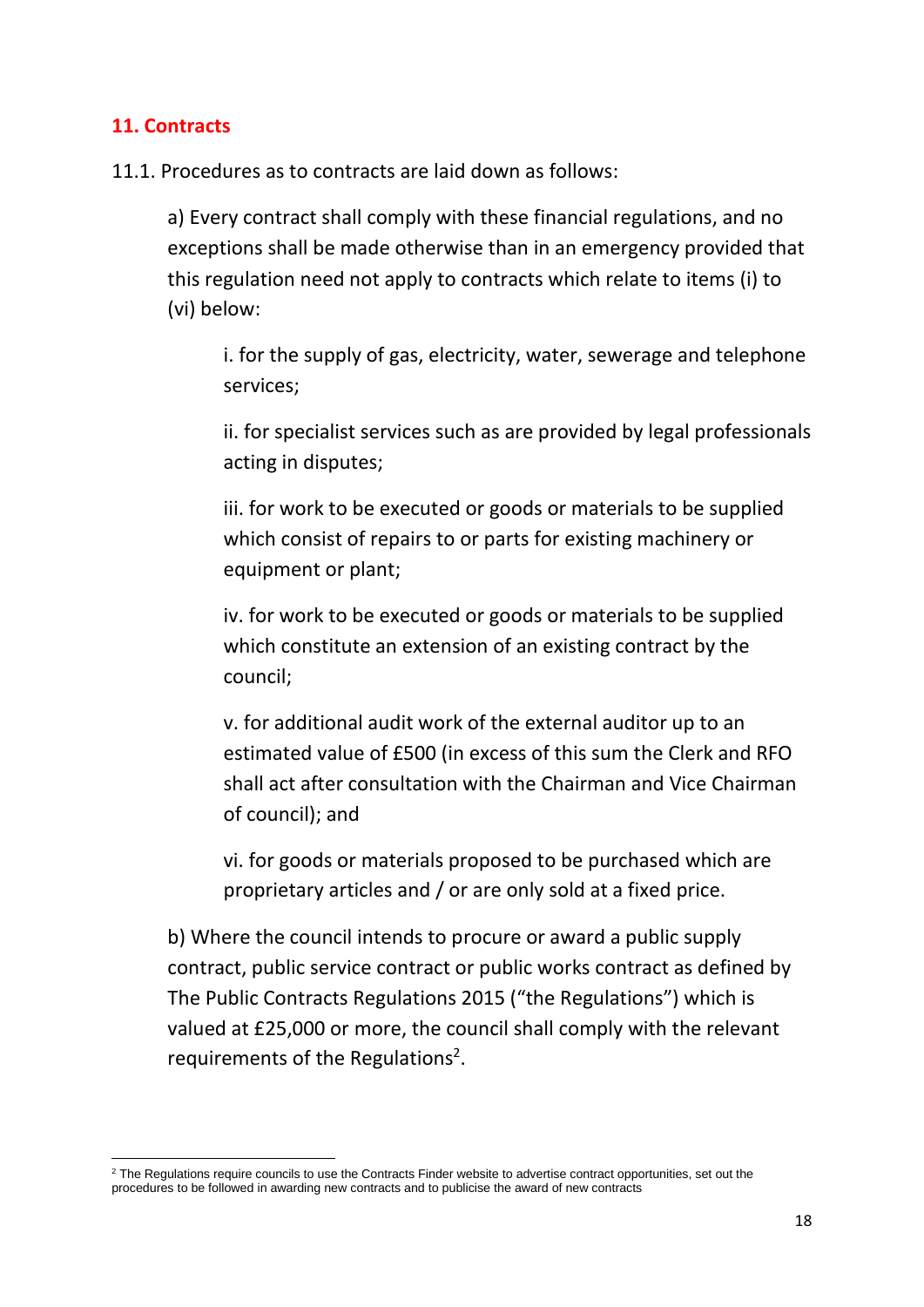#### **11. Contracts**

11.1. Procedures as to contracts are laid down as follows:

a) Every contract shall comply with these financial regulations, and no exceptions shall be made otherwise than in an emergency provided that this regulation need not apply to contracts which relate to items (i) to (vi) below:

i. for the supply of gas, electricity, water, sewerage and telephone services;

ii. for specialist services such as are provided by legal professionals acting in disputes;

iii. for work to be executed or goods or materials to be supplied which consist of repairs to or parts for existing machinery or equipment or plant;

iv. for work to be executed or goods or materials to be supplied which constitute an extension of an existing contract by the council;

v. for additional audit work of the external auditor up to an estimated value of £500 (in excess of this sum the Clerk and RFO shall act after consultation with the Chairman and Vice Chairman of council); and

vi. for goods or materials proposed to be purchased which are proprietary articles and / or are only sold at a fixed price.

b) Where the council intends to procure or award a public supply contract, public service contract or public works contract as defined by The Public Contracts Regulations 2015 ("the Regulations") which is valued at £25,000 or more, the council shall comply with the relevant requirements of the Regulations<sup>2</sup>.

<sup>&</sup>lt;sup>2</sup> The Regulations require councils to use the Contracts Finder website to advertise contract opportunities, set out the procedures to be followed in awarding new contracts and to publicise the award of new contracts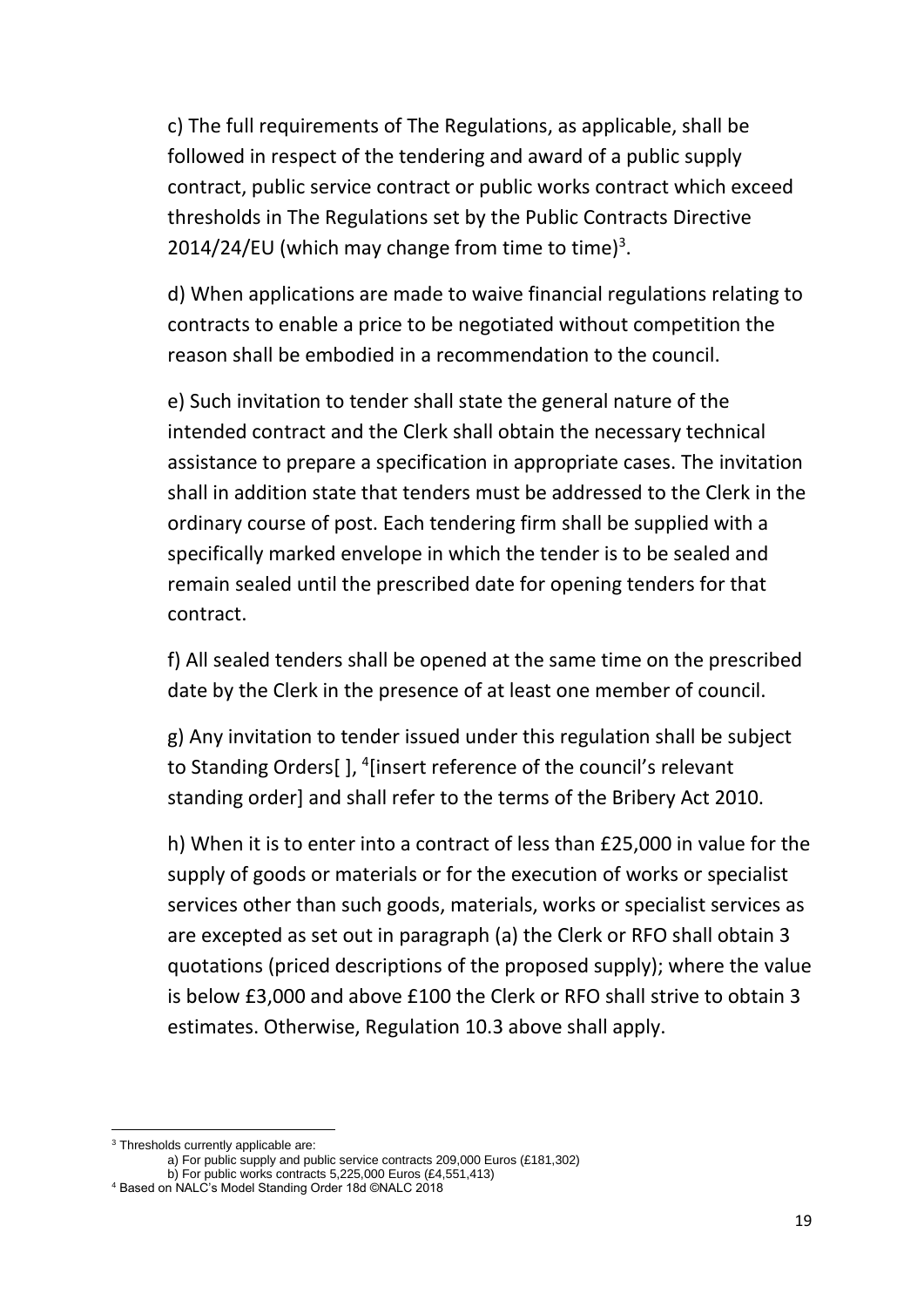c) The full requirements of The Regulations, as applicable, shall be followed in respect of the tendering and award of a public supply contract, public service contract or public works contract which exceed thresholds in The Regulations set by the Public Contracts Directive 2014/24/EU (which may change from time to time) $3$ .

d) When applications are made to waive financial regulations relating to contracts to enable a price to be negotiated without competition the reason shall be embodied in a recommendation to the council.

e) Such invitation to tender shall state the general nature of the intended contract and the Clerk shall obtain the necessary technical assistance to prepare a specification in appropriate cases. The invitation shall in addition state that tenders must be addressed to the Clerk in the ordinary course of post. Each tendering firm shall be supplied with a specifically marked envelope in which the tender is to be sealed and remain sealed until the prescribed date for opening tenders for that contract.

f) All sealed tenders shall be opened at the same time on the prescribed date by the Clerk in the presence of at least one member of council.

g) Any invitation to tender issued under this regulation shall be subject to Standing Orders[], <sup>4</sup>[insert reference of the council's relevant standing order] and shall refer to the terms of the Bribery Act 2010.

h) When it is to enter into a contract of less than £25,000 in value for the supply of goods or materials or for the execution of works or specialist services other than such goods, materials, works or specialist services as are excepted as set out in paragraph (a) the Clerk or RFO shall obtain 3 quotations (priced descriptions of the proposed supply); where the value is below £3,000 and above £100 the Clerk or RFO shall strive to obtain 3 estimates. Otherwise, Regulation 10.3 above shall apply.

<sup>&</sup>lt;sup>3</sup> Thresholds currently applicable are:

a) For public supply and public service contracts 209,000 Euros (£181,302) b) For public works contracts 5,225,000 Euros (£4,551,413)

<sup>4</sup> Based on NALC's Model Standing Order 18d ©NALC 2018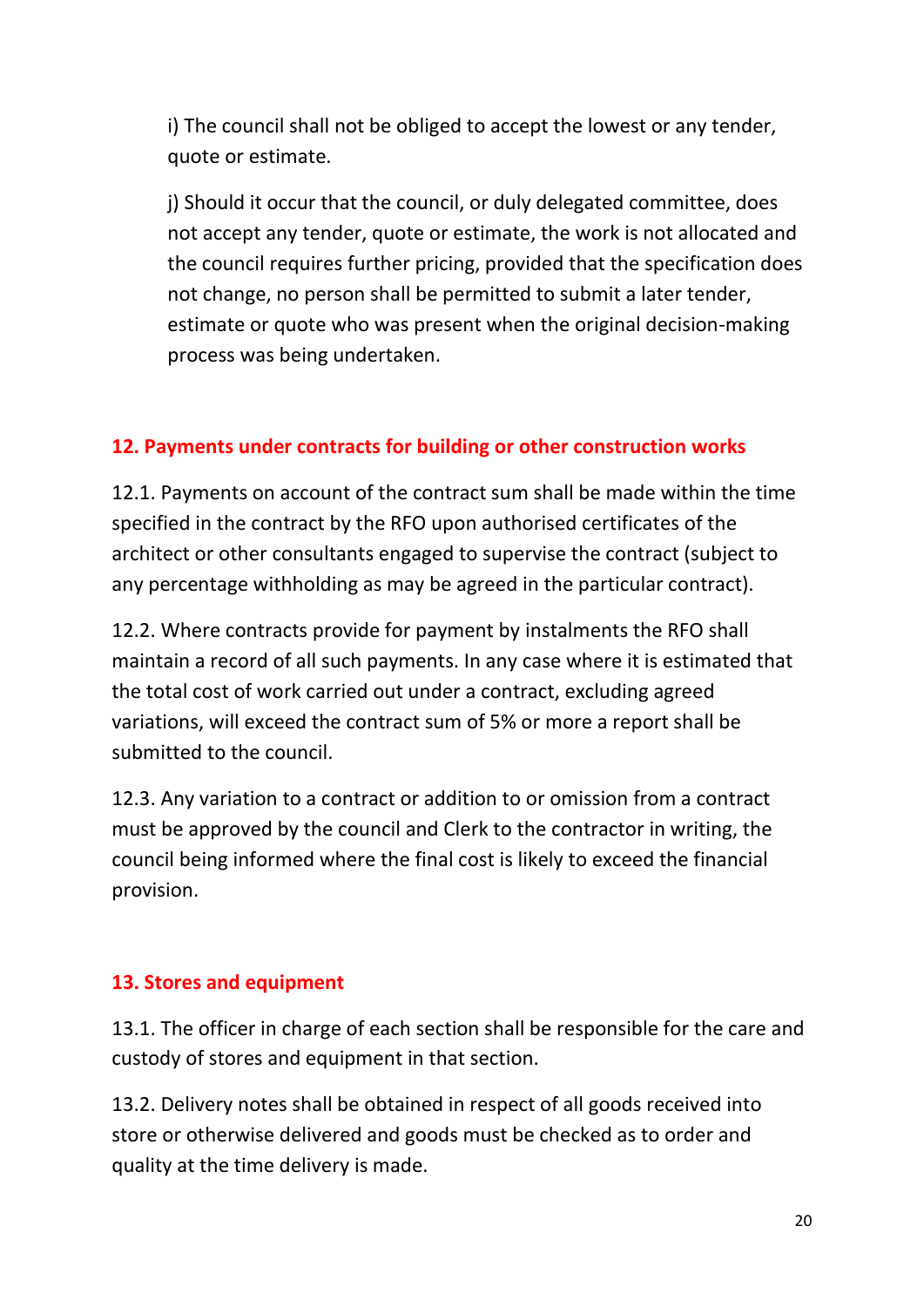i) The council shall not be obliged to accept the lowest or any tender, quote or estimate.

j) Should it occur that the council, or duly delegated committee, does not accept any tender, quote or estimate, the work is not allocated and the council requires further pricing, provided that the specification does not change, no person shall be permitted to submit a later tender, estimate or quote who was present when the original decision-making process was being undertaken.

#### **12. Payments under contracts for building or other construction works**

12.1. Payments on account of the contract sum shall be made within the time specified in the contract by the RFO upon authorised certificates of the architect or other consultants engaged to supervise the contract (subject to any percentage withholding as may be agreed in the particular contract).

12.2. Where contracts provide for payment by instalments the RFO shall maintain a record of all such payments. In any case where it is estimated that the total cost of work carried out under a contract, excluding agreed variations, will exceed the contract sum of 5% or more a report shall be submitted to the council.

12.3. Any variation to a contract or addition to or omission from a contract must be approved by the council and Clerk to the contractor in writing, the council being informed where the final cost is likely to exceed the financial provision.

#### **13. Stores and equipment**

13.1. The officer in charge of each section shall be responsible for the care and custody of stores and equipment in that section.

13.2. Delivery notes shall be obtained in respect of all goods received into store or otherwise delivered and goods must be checked as to order and quality at the time delivery is made.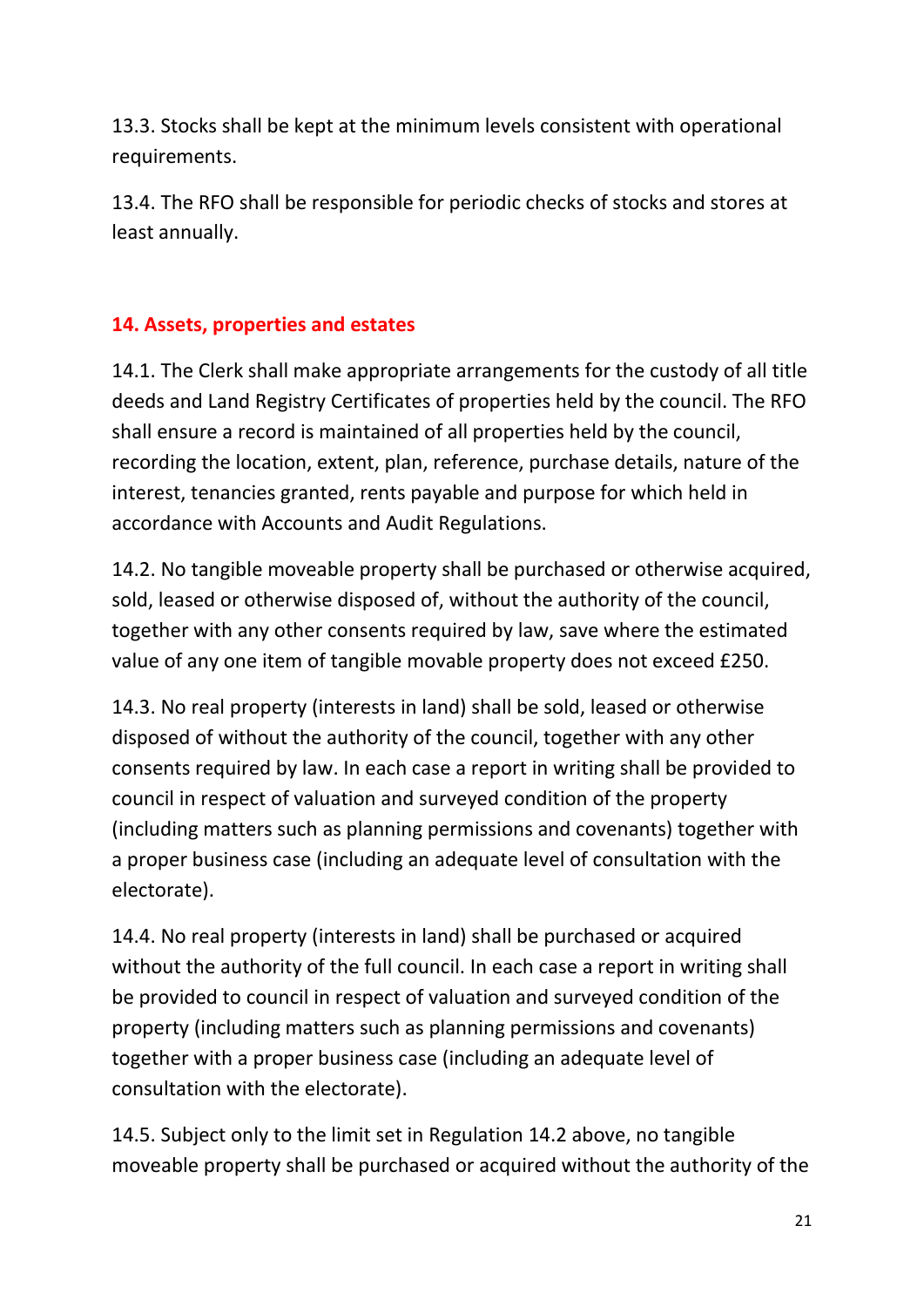13.3. Stocks shall be kept at the minimum levels consistent with operational requirements.

13.4. The RFO shall be responsible for periodic checks of stocks and stores at least annually.

# **14. Assets, properties and estates**

14.1. The Clerk shall make appropriate arrangements for the custody of all title deeds and Land Registry Certificates of properties held by the council. The RFO shall ensure a record is maintained of all properties held by the council, recording the location, extent, plan, reference, purchase details, nature of the interest, tenancies granted, rents payable and purpose for which held in accordance with Accounts and Audit Regulations.

14.2. No tangible moveable property shall be purchased or otherwise acquired, sold, leased or otherwise disposed of, without the authority of the council, together with any other consents required by law, save where the estimated value of any one item of tangible movable property does not exceed £250.

14.3. No real property (interests in land) shall be sold, leased or otherwise disposed of without the authority of the council, together with any other consents required by law. In each case a report in writing shall be provided to council in respect of valuation and surveyed condition of the property (including matters such as planning permissions and covenants) together with a proper business case (including an adequate level of consultation with the electorate).

14.4. No real property (interests in land) shall be purchased or acquired without the authority of the full council. In each case a report in writing shall be provided to council in respect of valuation and surveyed condition of the property (including matters such as planning permissions and covenants) together with a proper business case (including an adequate level of consultation with the electorate).

14.5. Subject only to the limit set in Regulation 14.2 above, no tangible moveable property shall be purchased or acquired without the authority of the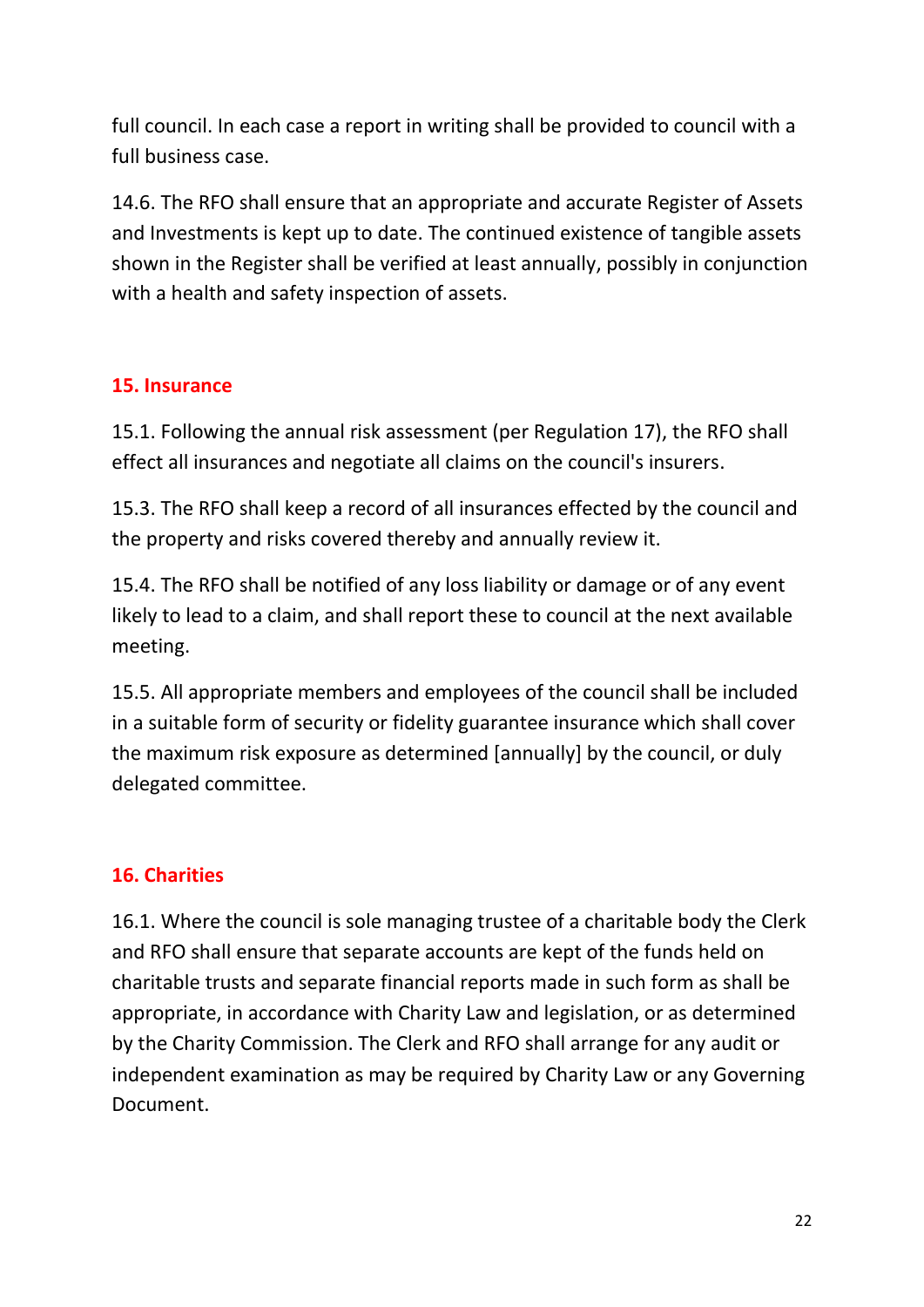full council. In each case a report in writing shall be provided to council with a full business case.

14.6. The RFO shall ensure that an appropriate and accurate Register of Assets and Investments is kept up to date. The continued existence of tangible assets shown in the Register shall be verified at least annually, possibly in conjunction with a health and safety inspection of assets.

#### **15. Insurance**

15.1. Following the annual risk assessment (per Regulation 17), the RFO shall effect all insurances and negotiate all claims on the council's insurers.

15.3. The RFO shall keep a record of all insurances effected by the council and the property and risks covered thereby and annually review it.

15.4. The RFO shall be notified of any loss liability or damage or of any event likely to lead to a claim, and shall report these to council at the next available meeting.

15.5. All appropriate members and employees of the council shall be included in a suitable form of security or fidelity guarantee insurance which shall cover the maximum risk exposure as determined [annually] by the council, or duly delegated committee.

# **16. Charities**

16.1. Where the council is sole managing trustee of a charitable body the Clerk and RFO shall ensure that separate accounts are kept of the funds held on charitable trusts and separate financial reports made in such form as shall be appropriate, in accordance with Charity Law and legislation, or as determined by the Charity Commission. The Clerk and RFO shall arrange for any audit or independent examination as may be required by Charity Law or any Governing Document.